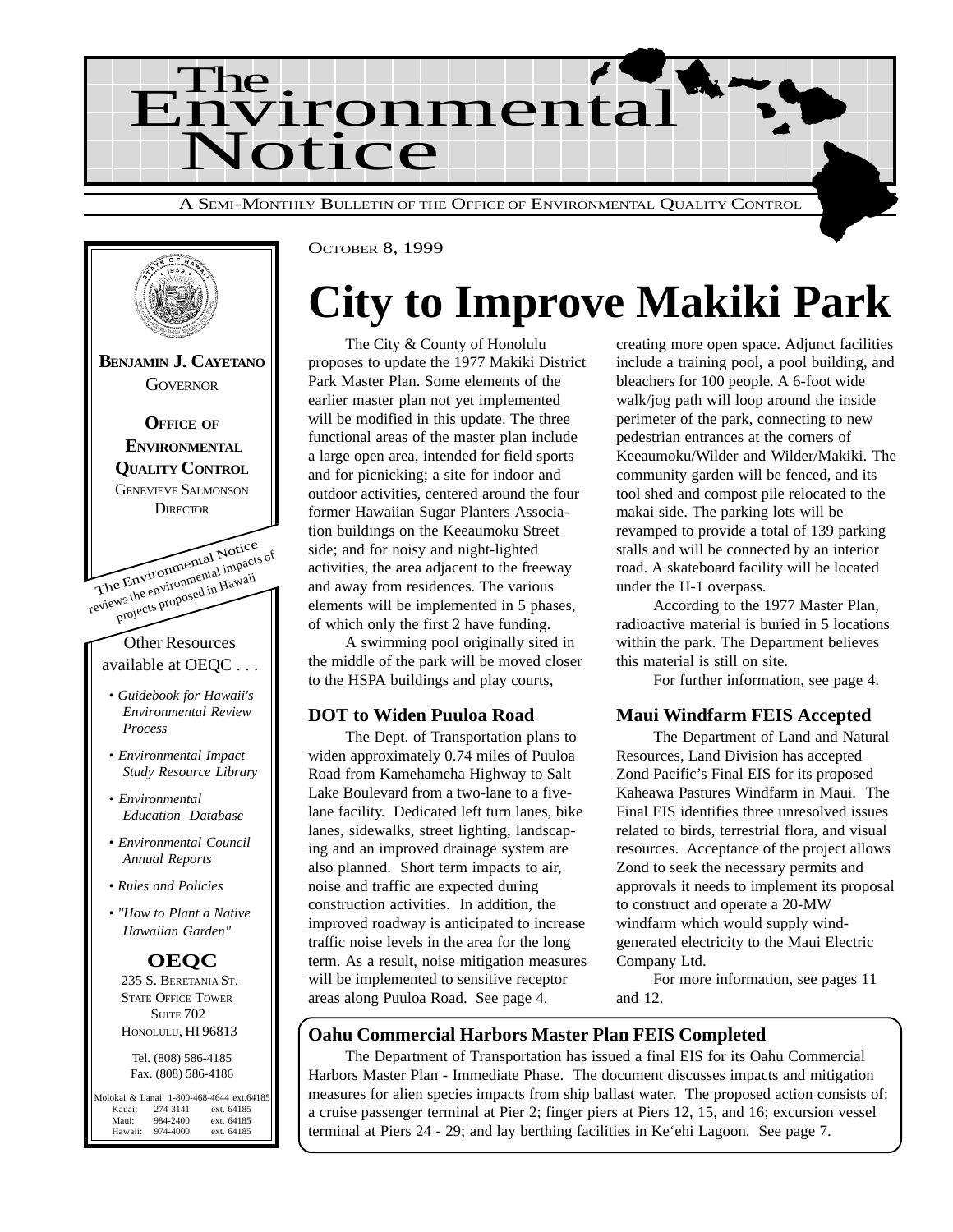



OCTOBER 8, 1999

## **City to Improve Makiki Park**

The City & County of Honolulu proposes to update the 1977 Makiki District Park Master Plan. Some elements of the earlier master plan not yet implemented will be modified in this update. The three functional areas of the master plan include a large open area, intended for field sports and for picnicking; a site for indoor and outdoor activities, centered around the four former Hawaiian Sugar Planters Association buildings on the Keeaumoku Street side; and for noisy and night-lighted activities, the area adjacent to the freeway and away from residences. The various elements will be implemented in 5 phases, of which only the first 2 have funding.

A swimming pool originally sited in the middle of the park will be moved closer to the HSPA buildings and play courts,

#### **DOT to Widen Puuloa Road**

The Dept. of Transportation plans to widen approximately 0.74 miles of Puuloa Road from Kamehameha Highway to Salt Lake Boulevard from a two-lane to a fivelane facility. Dedicated left turn lanes, bike lanes, sidewalks, street lighting, landscaping and an improved drainage system are also planned. Short term impacts to air, noise and traffic are expected during construction activities. In addition, the improved roadway is anticipated to increase traffic noise levels in the area for the long term. As a result, noise mitigation measures will be implemented to sensitive receptor areas along Puuloa Road. See page 4.

creating more open space. Adjunct facilities include a training pool, a pool building, and bleachers for 100 people. A 6-foot wide walk/jog path will loop around the inside perimeter of the park, connecting to new pedestrian entrances at the corners of Keeaumoku/Wilder and Wilder/Makiki. The community garden will be fenced, and its tool shed and compost pile relocated to the makai side. The parking lots will be revamped to provide a total of 139 parking stalls and will be connected by an interior road. A skateboard facility will be located under the H-1 overpass.

According to the 1977 Master Plan, radioactive material is buried in 5 locations within the park. The Department believes this material is still on site.

For further information, see page 4.

#### **Maui Windfarm FEIS Accepted**

The Department of Land and Natural Resources, Land Division has accepted Zond Pacific's Final EIS for its proposed Kaheawa Pastures Windfarm in Maui. The Final EIS identifies three unresolved issues related to birds, terrestrial flora, and visual resources. Acceptance of the project allows Zond to seek the necessary permits and approvals it needs to implement its proposal to construct and operate a 20-MW windfarm which would supply windgenerated electricity to the Maui Electric Company Ltd.

For more information, see pages 11 and 12.

### **Oahu Commercial Harbors Master Plan FEIS Completed**

The Department of Transportation has issued a final EIS for its Oahu Commercial Harbors Master Plan - Immediate Phase. The document discusses impacts and mitigation measures for alien species impacts from ship ballast water. The proposed action consists of: a cruise passenger terminal at Pier 2; finger piers at Piers 12, 15, and 16; excursion vessel terminal at Piers 24 - 29; and lay berthing facilities in Ke'ehi Lagoon. See page 7.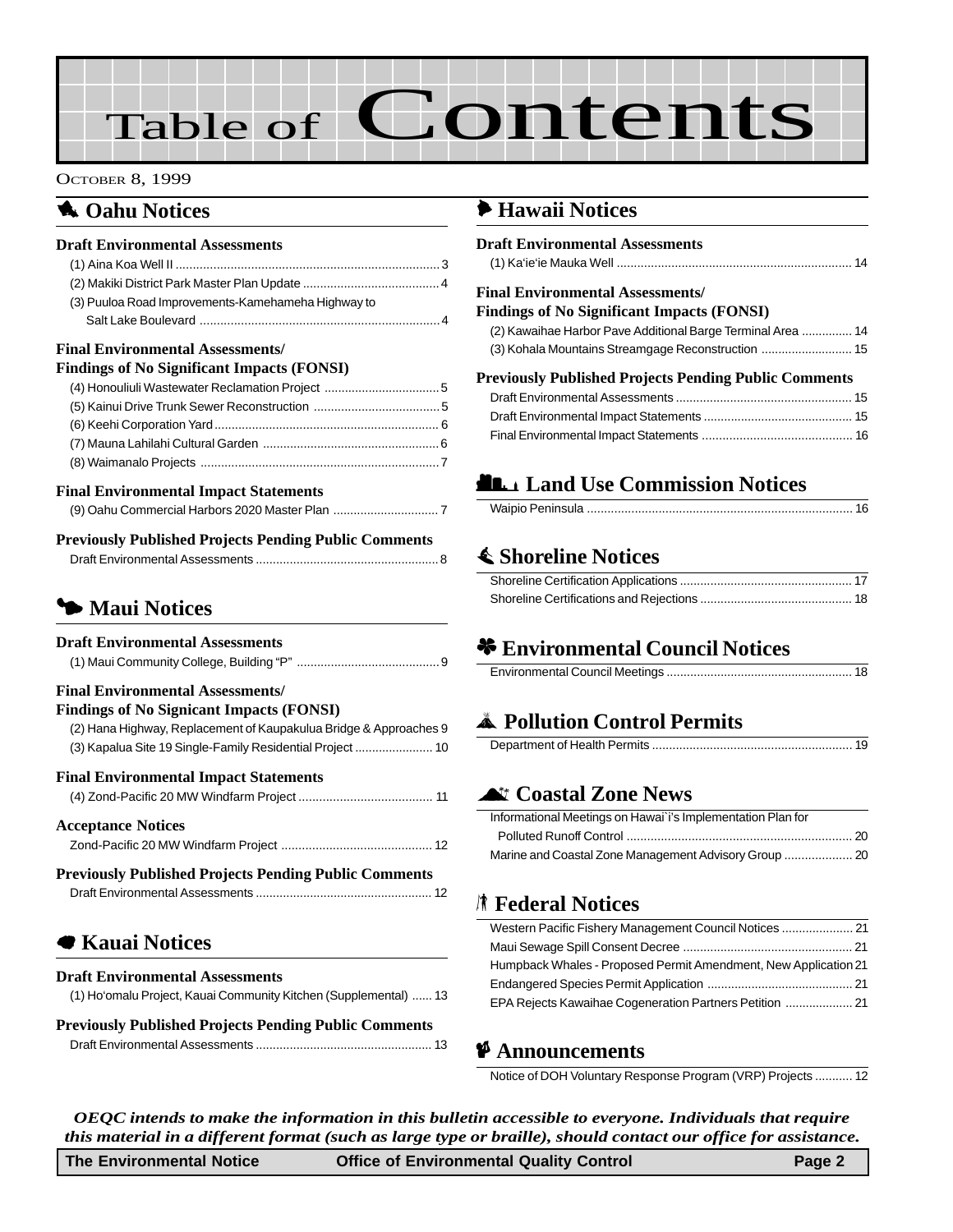# Table of Contents

#### OCTOBER 8, 1999

### **1** Oahu Notices

| <b>Draft Environmental Assessments</b>             |  |
|----------------------------------------------------|--|
|                                                    |  |
|                                                    |  |
| (3) Puuloa Road Improvements-Kamehameha Highway to |  |
|                                                    |  |
| <b>Final Environmental Assessments/</b>            |  |
| Findings of No Significant Impacts (FONSI)         |  |
| (4) Honouliuli Wastewater Reclamation Project  5   |  |
|                                                    |  |
|                                                    |  |
|                                                    |  |
|                                                    |  |
| <b>Final Environmental Impact Statements</b>       |  |

### [\(9\) Oahu Commercial Harbors 2020 Master Plan ............................... 7](#page-6-0)

#### **Previously Published Projects Pending Public Comments**

## 3 **Maui Notices**

| <b>Draft Environmental Assessments</b>                                                                                                                          |
|-----------------------------------------------------------------------------------------------------------------------------------------------------------------|
| <b>Final Environmental Assessments/</b><br><b>Findings of No Signicant Impacts (FONSI)</b><br>(2) Hana Highway, Replacement of Kaupakulua Bridge & Approaches 9 |
| <b>Final Environmental Impact Statements</b>                                                                                                                    |
| <b>Acceptance Notices</b>                                                                                                                                       |
| <b>Previously Published Projects Pending Public Comments</b>                                                                                                    |
| <b>■ Kauai Notices</b>                                                                                                                                          |
| <b>Draft Environmental Assessments</b><br>(1) Ho'omalu Project, Kauai Community Kitchen (Supplemental)  13                                                      |

#### **Previously Published Projects Pending Public Comments**

[Draft Environmental Assessments .................................................... 13](#page-12-0)

### 6 **[Hawaii Notices](#page-13-0)**

| <b>Draft Environmental Assessments</b>                       |  |
|--------------------------------------------------------------|--|
| <b>Final Environmental Assessments/</b>                      |  |
| Findings of No Significant Impacts (FONSI)                   |  |
| (2) Kawaihae Harbor Pave Additional Barge Terminal Area  14  |  |
|                                                              |  |
| <b>Previously Published Projects Pending Public Comments</b> |  |
|                                                              |  |
|                                                              |  |
|                                                              |  |

### **AL** Land Use Commission Notices

|--|--|

### s **Shoreline Notices**

## **\*** Environmental Council Notices

|--|

## V **Pollution Control Permits**

|--|

### ^ **Coastal Zone News**

| Informational Meetings on Hawai'i's Implementation Plan for |  |
|-------------------------------------------------------------|--|
|                                                             |  |
| Marine and Coastal Zone Management Advisory Group  20       |  |

### S **Federal Notices**

| Western Pacific Fishery Management Council Notices  21          |
|-----------------------------------------------------------------|
|                                                                 |
| Humpback Whales - Proposed Permit Amendment, New Application 21 |
|                                                                 |
|                                                                 |

### C **Announcements**

Notice of DOH Voluntary Response Program (VRP) Projects ........... 12

*OEQC intends to make the information in this bulletin accessible to everyone. Individuals that require this material in a different format (such as large type or braille), should contact our office for assistance.*

| <b>The Environmental Notice</b> | <b>Office of Environmental Quality Control</b> | Page 2 |
|---------------------------------|------------------------------------------------|--------|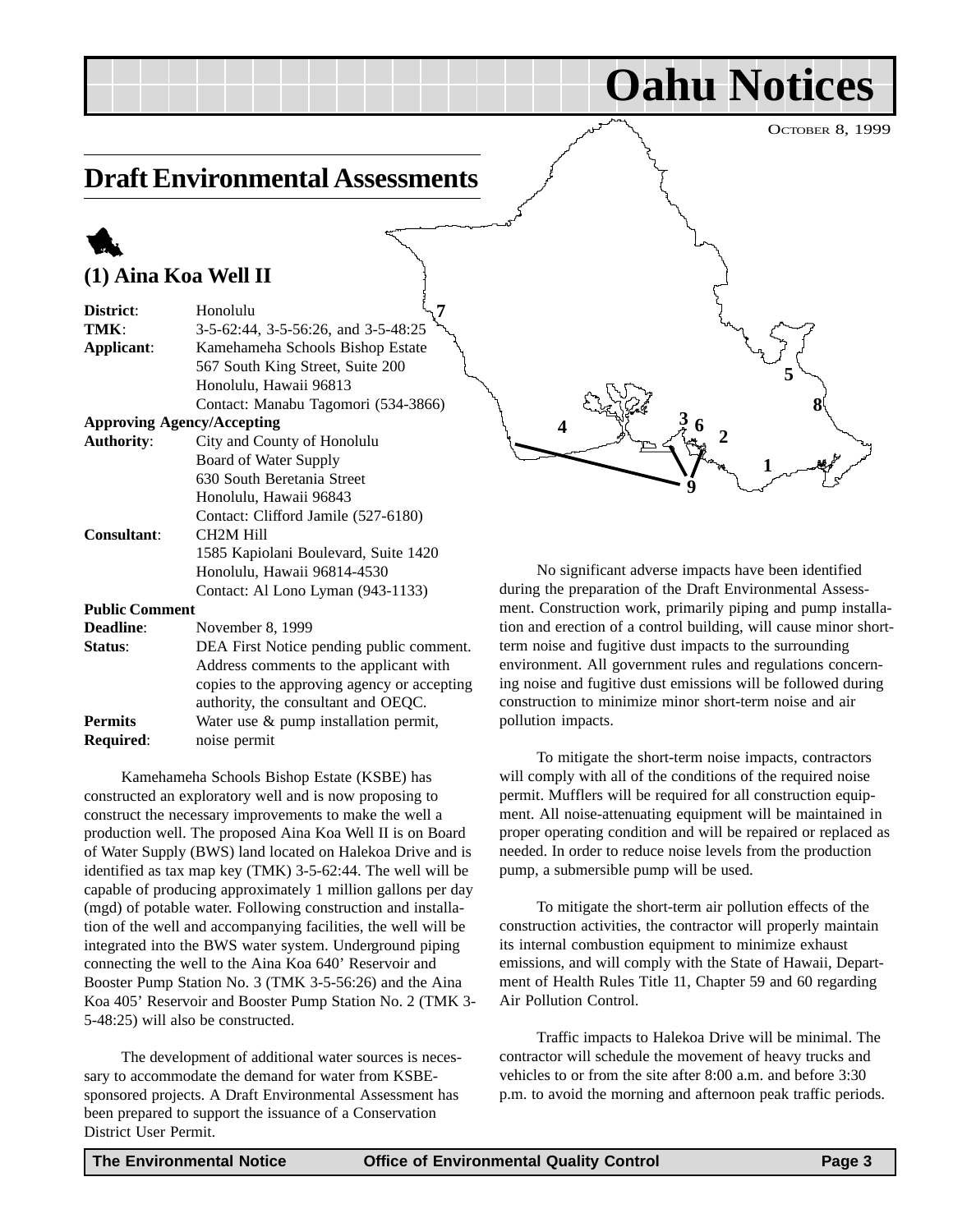OCTOBER 8, 1999

**8**

**5**

**1**

**Oahu Notices**

## <span id="page-2-0"></span>**Draft Environmental Assessments**

## 1 **(1) Aina Koa Well II**

| District:             | Honolulu                                 |
|-----------------------|------------------------------------------|
| TMK:                  | 3-5-62:44, 3-5-56:26, and 3-5-48:25      |
| Applicant:            | Kamehameha Schools Bishop Estate         |
|                       | 567 South King Street, Suite 200         |
|                       | Honolulu, Hawaii 96813                   |
|                       | Contact: Manabu Tagomori (534-3866)      |
|                       | <b>Approving Agency/Accepting</b>        |
| <b>Authority:</b>     | City and County of Honolulu              |
|                       | Board of Water Supply                    |
|                       | 630 South Beretania Street               |
|                       | Honolulu, Hawaii 96843                   |
|                       | Contact: Clifford Jamile (527-6180)      |
| <b>Consultant:</b>    | CH <sub>2</sub> M Hill                   |
|                       | 1585 Kapiolani Boulevard, Suite 1420     |
|                       | Honolulu, Hawaii 96814-4530              |
|                       | Contact: Al Lono Lyman (943-1133)        |
| <b>Public Comment</b> |                                          |
| <b>Deadline:</b>      | November 8, 1999                         |
| Status:               | DEA First Notice pending public comment. |
|                       | Address comments to the applicant with   |

copies to the approving agency or accepting authority, the consultant and OEQC. **Permits** Water use & pump installation permit, **Required**: noise permit

Kamehameha Schools Bishop Estate (KSBE) has constructed an exploratory well and is now proposing to construct the necessary improvements to make the well a production well. The proposed Aina Koa Well II is on Board of Water Supply (BWS) land located on Halekoa Drive and is identified as tax map key (TMK) 3-5-62:44. The well will be capable of producing approximately 1 million gallons per day (mgd) of potable water. Following construction and installation of the well and accompanying facilities, the well will be integrated into the BWS water system. Underground piping connecting the well to the Aina Koa 640' Reservoir and Booster Pump Station No. 3 (TMK 3-5-56:26) and the Aina Koa 405' Reservoir and Booster Pump Station No. 2 (TMK 3- 5-48:25) will also be constructed.

The development of additional water sources is necessary to accommodate the demand for water from KSBEsponsored projects. A Draft Environmental Assessment has been prepared to support the issuance of a Conservation District User Permit.

No significant adverse impacts have been identified during the preparation of the Draft Environmental Assessment. Construction work, primarily piping and pump installation and erection of a control building, will cause minor shortterm noise and fugitive dust impacts to the surrounding environment. All government rules and regulations concerning noise and fugitive dust emissions will be followed during construction to minimize minor short-term noise and air pollution impacts.

 $\begin{array}{cc} 6 & 2 \end{array}$ 

**9**

**3**

**4**

To mitigate the short-term noise impacts, contractors will comply with all of the conditions of the required noise permit. Mufflers will be required for all construction equipment. All noise-attenuating equipment will be maintained in proper operating condition and will be repaired or replaced as needed. In order to reduce noise levels from the production pump, a submersible pump will be used.

To mitigate the short-term air pollution effects of the construction activities, the contractor will properly maintain its internal combustion equipment to minimize exhaust emissions, and will comply with the State of Hawaii, Department of Health Rules Title 11, Chapter 59 and 60 regarding Air Pollution Control.

Traffic impacts to Halekoa Drive will be minimal. The contractor will schedule the movement of heavy trucks and vehicles to or from the site after 8:00 a.m. and before 3:30 p.m. to avoid the morning and afternoon peak traffic periods.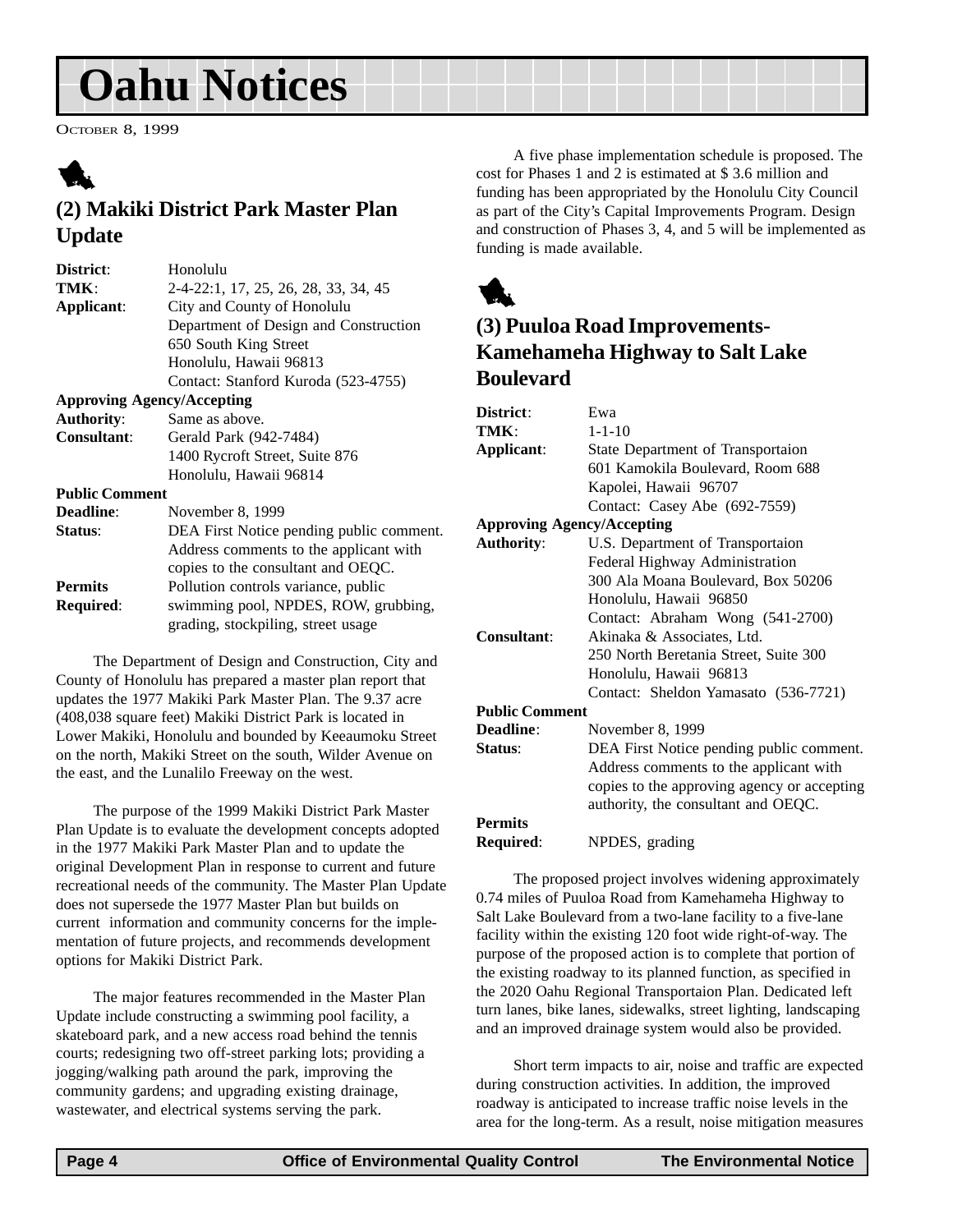<span id="page-3-0"></span>OCTOBER 8, 1999



### **(2) Makiki District Park Master Plan Update**

| District:             | Honolulu                                 |
|-----------------------|------------------------------------------|
| TMK:                  | 2-4-22:1, 17, 25, 26, 28, 33, 34, 45     |
| Applicant:            | City and County of Honolulu              |
|                       | Department of Design and Construction    |
|                       | 650 South King Street                    |
|                       | Honolulu, Hawaii 96813                   |
|                       | Contact: Stanford Kuroda (523-4755)      |
|                       | <b>Approving Agency/Accepting</b>        |
| <b>Authority:</b>     | Same as above.                           |
| <b>Consultant:</b>    | Gerald Park (942-7484)                   |
|                       | 1400 Rycroft Street, Suite 876           |
|                       | Honolulu, Hawaii 96814                   |
| <b>Public Comment</b> |                                          |
| <b>Deadline:</b>      | November 8, 1999                         |
| Status:               | DEA First Notice pending public comment. |
|                       | Address comments to the applicant with   |
|                       | copies to the consultant and OEQC.       |
| <b>Permits</b>        | Pollution controls variance, public      |
| Required:             | swimming pool, NPDES, ROW, grubbing,     |
|                       | grading, stockpiling, street usage       |

The Department of Design and Construction, City and County of Honolulu has prepared a master plan report that updates the 1977 Makiki Park Master Plan. The 9.37 acre (408,038 square feet) Makiki District Park is located in Lower Makiki, Honolulu and bounded by Keeaumoku Street on the north, Makiki Street on the south, Wilder Avenue on the east, and the Lunalilo Freeway on the west.

The purpose of the 1999 Makiki District Park Master Plan Update is to evaluate the development concepts adopted in the 1977 Makiki Park Master Plan and to update the original Development Plan in response to current and future recreational needs of the community. The Master Plan Update does not supersede the 1977 Master Plan but builds on current information and community concerns for the implementation of future projects, and recommends development options for Makiki District Park.

The major features recommended in the Master Plan Update include constructing a swimming pool facility, a skateboard park, and a new access road behind the tennis courts; redesigning two off-street parking lots; providing a jogging/walking path around the park, improving the community gardens; and upgrading existing drainage, wastewater, and electrical systems serving the park.

A five phase implementation schedule is proposed. The cost for Phases 1 and 2 is estimated at \$ 3.6 million and funding has been appropriated by the Honolulu City Council as part of the City's Capital Improvements Program. Design and construction of Phases 3, 4, and 5 will be implemented as funding is made available.



## **(3) Puuloa Road Improvements-Kamehameha Highway to Salt Lake Boulevard**

| District:                         | Ewa                                         |
|-----------------------------------|---------------------------------------------|
| TMK:                              | $1 - 1 - 10$                                |
| Applicant:                        | State Department of Transportaion           |
|                                   | 601 Kamokila Boulevard, Room 688            |
|                                   | Kapolei, Hawaii 96707                       |
|                                   | Contact: Casey Abe (692-7559)               |
| <b>Approving Agency/Accepting</b> |                                             |
| <b>Authority:</b>                 | U.S. Department of Transportaion            |
|                                   | Federal Highway Administration              |
|                                   | 300 Ala Moana Boulevard, Box 50206          |
|                                   | Honolulu, Hawaii 96850                      |
|                                   | Contact: Abraham Wong (541-2700)            |
| Consultant:                       | Akinaka & Associates, Ltd.                  |
|                                   | 250 North Beretania Street, Suite 300       |
|                                   | Honolulu, Hawaii 96813                      |
|                                   | Contact: Sheldon Yamasato (536-7721)        |
| <b>Public Comment</b>             |                                             |
| Deadline:                         | November 8, 1999                            |
| Status:                           | DEA First Notice pending public comment.    |
|                                   | Address comments to the applicant with      |
|                                   | copies to the approving agency or accepting |
|                                   | authority, the consultant and OEQC.         |
| <b>Permits</b>                    |                                             |
| Required:                         | NPDES, grading                              |

The proposed project involves widening approximately 0.74 miles of Puuloa Road from Kamehameha Highway to Salt Lake Boulevard from a two-lane facility to a five-lane facility within the existing 120 foot wide right-of-way. The purpose of the proposed action is to complete that portion of the existing roadway to its planned function, as specified in the 2020 Oahu Regional Transportaion Plan. Dedicated left turn lanes, bike lanes, sidewalks, street lighting, landscaping and an improved drainage system would also be provided.

Short term impacts to air, noise and traffic are expected during construction activities. In addition, the improved roadway is anticipated to increase traffic noise levels in the area for the long-term. As a result, noise mitigation measures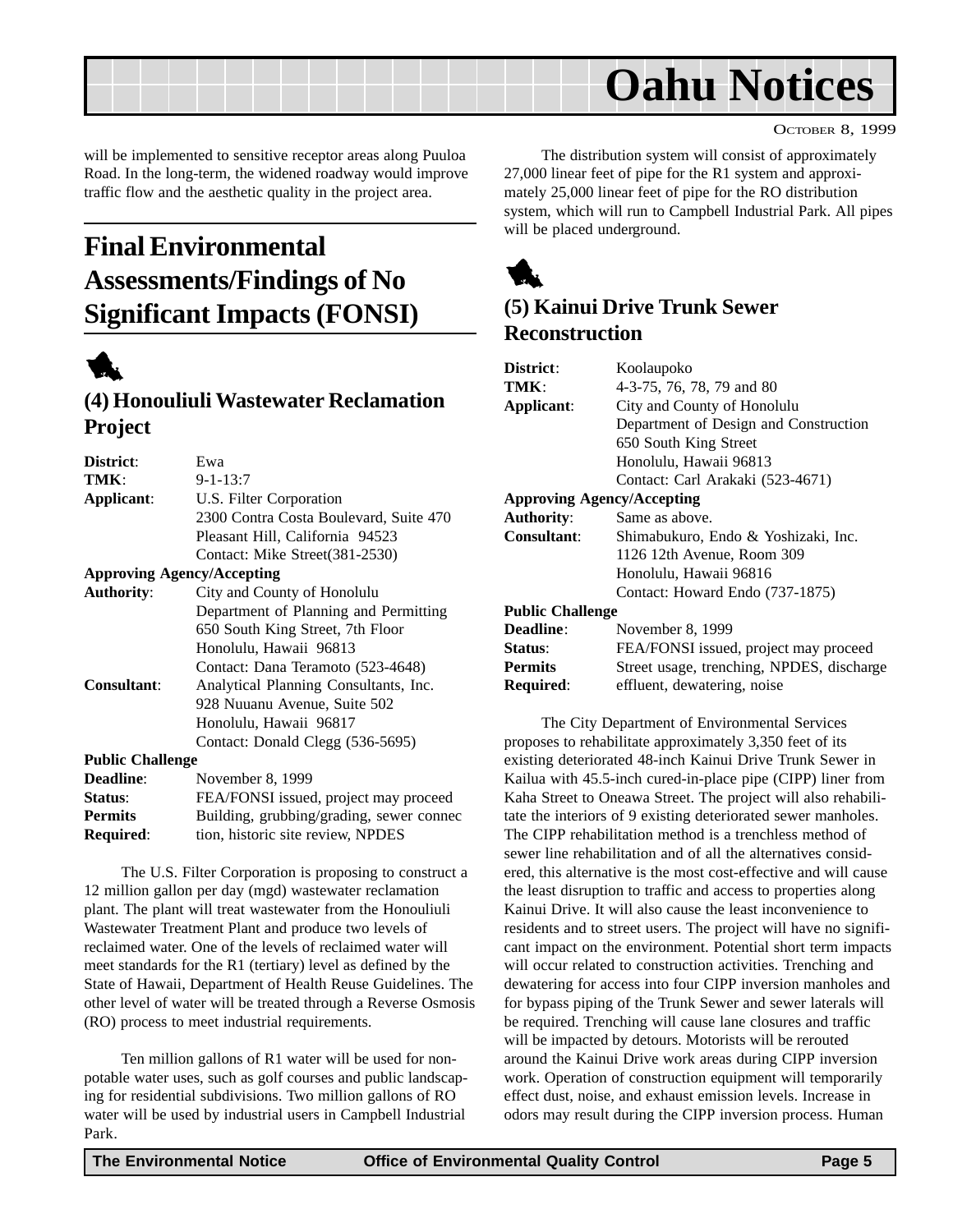<span id="page-4-0"></span>

will be implemented to sensitive receptor areas along Puuloa Road. In the long-term, the widened roadway would improve traffic flow and the aesthetic quality in the project area.

## **Final Environmental Assessments/Findings of No Significant Impacts (FONSI)**



### **(4) Honouliuli Wastewater Reclamation Project**

| District:               | Ewa                                      |
|-------------------------|------------------------------------------|
| TMK:                    | $9 - 1 - 13:7$                           |
| Applicant:              | U.S. Filter Corporation                  |
|                         | 2300 Contra Costa Boulevard, Suite 470   |
|                         | Pleasant Hill, California 94523          |
|                         | Contact: Mike Street(381-2530)           |
|                         | <b>Approving Agency/Accepting</b>        |
| <b>Authority:</b>       | City and County of Honolulu              |
|                         | Department of Planning and Permitting    |
|                         | 650 South King Street, 7th Floor         |
|                         | Honolulu, Hawaii 96813                   |
|                         | Contact: Dana Teramoto (523-4648)        |
| Consultant:             | Analytical Planning Consultants, Inc.    |
|                         | 928 Nuuanu Avenue, Suite 502             |
|                         | Honolulu, Hawaii 96817                   |
|                         | Contact: Donald Clegg (536-5695)         |
| <b>Public Challenge</b> |                                          |
| <b>Deadline:</b>        | November 8, 1999                         |
| Status:                 | FEA/FONSI issued, project may proceed    |
| <b>Permits</b>          | Building, grubbing/grading, sewer connec |
| <b>Required:</b>        | tion, historic site review, NPDES        |

The U.S. Filter Corporation is proposing to construct a 12 million gallon per day (mgd) wastewater reclamation plant. The plant will treat wastewater from the Honouliuli Wastewater Treatment Plant and produce two levels of reclaimed water. One of the levels of reclaimed water will meet standards for the R1 (tertiary) level as defined by the State of Hawaii, Department of Health Reuse Guidelines. The other level of water will be treated through a Reverse Osmosis (RO) process to meet industrial requirements.

Ten million gallons of R1 water will be used for nonpotable water uses, such as golf courses and public landscaping for residential subdivisions. Two million gallons of RO water will be used by industrial users in Campbell Industrial Park.

OCTOBER 8, 1999

The distribution system will consist of approximately 27,000 linear feet of pipe for the R1 system and approximately 25,000 linear feet of pipe for the RO distribution system, which will run to Campbell Industrial Park. All pipes will be placed underground.



### **(5) Kainui Drive Trunk Sewer Reconstruction**

| District:                         | Koolaupoko                                |  |
|-----------------------------------|-------------------------------------------|--|
| TMK:                              | 4-3-75, 76, 78, 79 and 80                 |  |
| Applicant:                        | City and County of Honolulu               |  |
|                                   | Department of Design and Construction     |  |
|                                   | 650 South King Street                     |  |
|                                   | Honolulu, Hawaii 96813                    |  |
|                                   | Contact: Carl Arakaki (523-4671)          |  |
| <b>Approving Agency/Accepting</b> |                                           |  |
| <b>Authority:</b>                 | Same as above.                            |  |
| <b>Consultant:</b>                | Shimabukuro, Endo & Yoshizaki, Inc.       |  |
|                                   | 1126 12th Avenue, Room 309                |  |
|                                   | Honolulu, Hawaii 96816                    |  |
|                                   | Contact: Howard Endo (737-1875)           |  |
| <b>Public Challenge</b>           |                                           |  |
| Deadline:                         | November 8, 1999                          |  |
| Status:                           | FEA/FONSI issued, project may proceed     |  |
| <b>Permits</b>                    | Street usage, trenching, NPDES, discharge |  |
| <b>Required:</b>                  | effluent, dewatering, noise               |  |
|                                   |                                           |  |

The City Department of Environmental Services proposes to rehabilitate approximately 3,350 feet of its existing deteriorated 48-inch Kainui Drive Trunk Sewer in Kailua with 45.5-inch cured-in-place pipe (CIPP) liner from Kaha Street to Oneawa Street. The project will also rehabilitate the interiors of 9 existing deteriorated sewer manholes. The CIPP rehabilitation method is a trenchless method of sewer line rehabilitation and of all the alternatives considered, this alternative is the most cost-effective and will cause the least disruption to traffic and access to properties along Kainui Drive. It will also cause the least inconvenience to residents and to street users. The project will have no significant impact on the environment. Potential short term impacts will occur related to construction activities. Trenching and dewatering for access into four CIPP inversion manholes and for bypass piping of the Trunk Sewer and sewer laterals will be required. Trenching will cause lane closures and traffic will be impacted by detours. Motorists will be rerouted around the Kainui Drive work areas during CIPP inversion work. Operation of construction equipment will temporarily effect dust, noise, and exhaust emission levels. Increase in odors may result during the CIPP inversion process. Human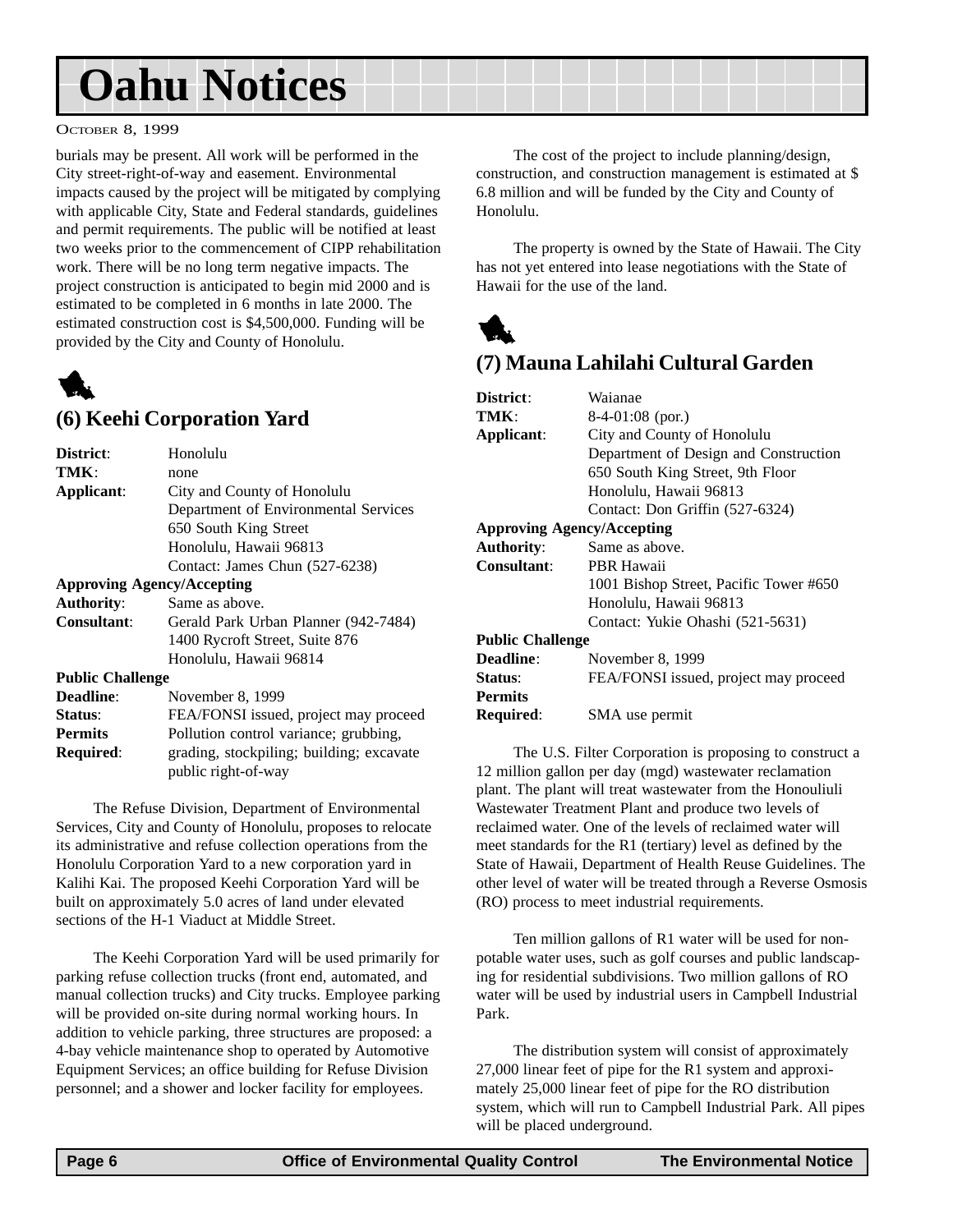#### <span id="page-5-0"></span>OCTOBER 8, 1999

burials may be present. All work will be performed in the City street-right-of-way and easement. Environmental impacts caused by the project will be mitigated by complying with applicable City, State and Federal standards, guidelines and permit requirements. The public will be notified at least two weeks prior to the commencement of CIPP rehabilitation work. There will be no long term negative impacts. The project construction is anticipated to begin mid 2000 and is estimated to be completed in 6 months in late 2000. The estimated construction cost is \$4,500,000. Funding will be provided by the City and County of Honolulu.



### **(6) Keehi Corporation Yard**

| District:                         | Honolulu                                 |  |
|-----------------------------------|------------------------------------------|--|
| TMK:                              | none                                     |  |
| Applicant:                        | City and County of Honolulu              |  |
|                                   | Department of Environmental Services     |  |
|                                   | 650 South King Street                    |  |
|                                   | Honolulu, Hawaii 96813                   |  |
|                                   | Contact: James Chun (527-6238)           |  |
| <b>Approving Agency/Accepting</b> |                                          |  |
| <b>Authority:</b>                 | Same as above.                           |  |
| Consultant:                       | Gerald Park Urban Planner (942-7484)     |  |
|                                   | 1400 Rycroft Street, Suite 876           |  |
|                                   | Honolulu, Hawaii 96814                   |  |
| <b>Public Challenge</b>           |                                          |  |
| Deadline:                         | November 8, 1999                         |  |
| Status:                           | FEA/FONSI issued, project may proceed    |  |
| <b>Permits</b>                    | Pollution control variance; grubbing,    |  |
| <b>Required:</b>                  | grading, stockpiling; building; excavate |  |

public right-of-way The Refuse Division, Department of Environmental Services, City and County of Honolulu, proposes to relocate its administrative and refuse collection operations from the Honolulu Corporation Yard to a new corporation yard in

Kalihi Kai. The proposed Keehi Corporation Yard will be built on approximately 5.0 acres of land under elevated sections of the H-1 Viaduct at Middle Street.

The Keehi Corporation Yard will be used primarily for parking refuse collection trucks (front end, automated, and manual collection trucks) and City trucks. Employee parking will be provided on-site during normal working hours. In addition to vehicle parking, three structures are proposed: a 4-bay vehicle maintenance shop to operated by Automotive Equipment Services; an office building for Refuse Division personnel; and a shower and locker facility for employees.

The cost of the project to include planning/design, construction, and construction management is estimated at \$ 6.8 million and will be funded by the City and County of Honolulu.

The property is owned by the State of Hawaii. The City has not yet entered into lease negotiations with the State of Hawaii for the use of the land.



### **(7) Mauna Lahilahi Cultural Garden**

| District:                         | Waianae                                |  |
|-----------------------------------|----------------------------------------|--|
| TMK:                              | $8-4-01:08$ (por.)                     |  |
| Applicant:                        | City and County of Honolulu            |  |
|                                   | Department of Design and Construction  |  |
|                                   | 650 South King Street, 9th Floor       |  |
|                                   | Honolulu, Hawaii 96813                 |  |
|                                   | Contact: Don Griffin (527-6324)        |  |
| <b>Approving Agency/Accepting</b> |                                        |  |
| <b>Authority:</b>                 | Same as above.                         |  |
| Consultant:                       | PBR Hawaii                             |  |
|                                   | 1001 Bishop Street, Pacific Tower #650 |  |
|                                   | Honolulu, Hawaii 96813                 |  |
|                                   | Contact: Yukie Ohashi (521-5631)       |  |
| <b>Public Challenge</b>           |                                        |  |
| Deadline:                         | November 8, 1999                       |  |
| Status:                           | FEA/FONSI issued, project may proceed  |  |
| <b>Permits</b>                    |                                        |  |
| Required:                         | SMA use permit                         |  |
|                                   |                                        |  |

The U.S. Filter Corporation is proposing to construct a 12 million gallon per day (mgd) wastewater reclamation plant. The plant will treat wastewater from the Honouliuli Wastewater Treatment Plant and produce two levels of reclaimed water. One of the levels of reclaimed water will meet standards for the R1 (tertiary) level as defined by the State of Hawaii, Department of Health Reuse Guidelines. The other level of water will be treated through a Reverse Osmosis (RO) process to meet industrial requirements.

Ten million gallons of R1 water will be used for nonpotable water uses, such as golf courses and public landscaping for residential subdivisions. Two million gallons of RO water will be used by industrial users in Campbell Industrial Park.

The distribution system will consist of approximately 27,000 linear feet of pipe for the R1 system and approximately 25,000 linear feet of pipe for the RO distribution system, which will run to Campbell Industrial Park. All pipes will be placed underground.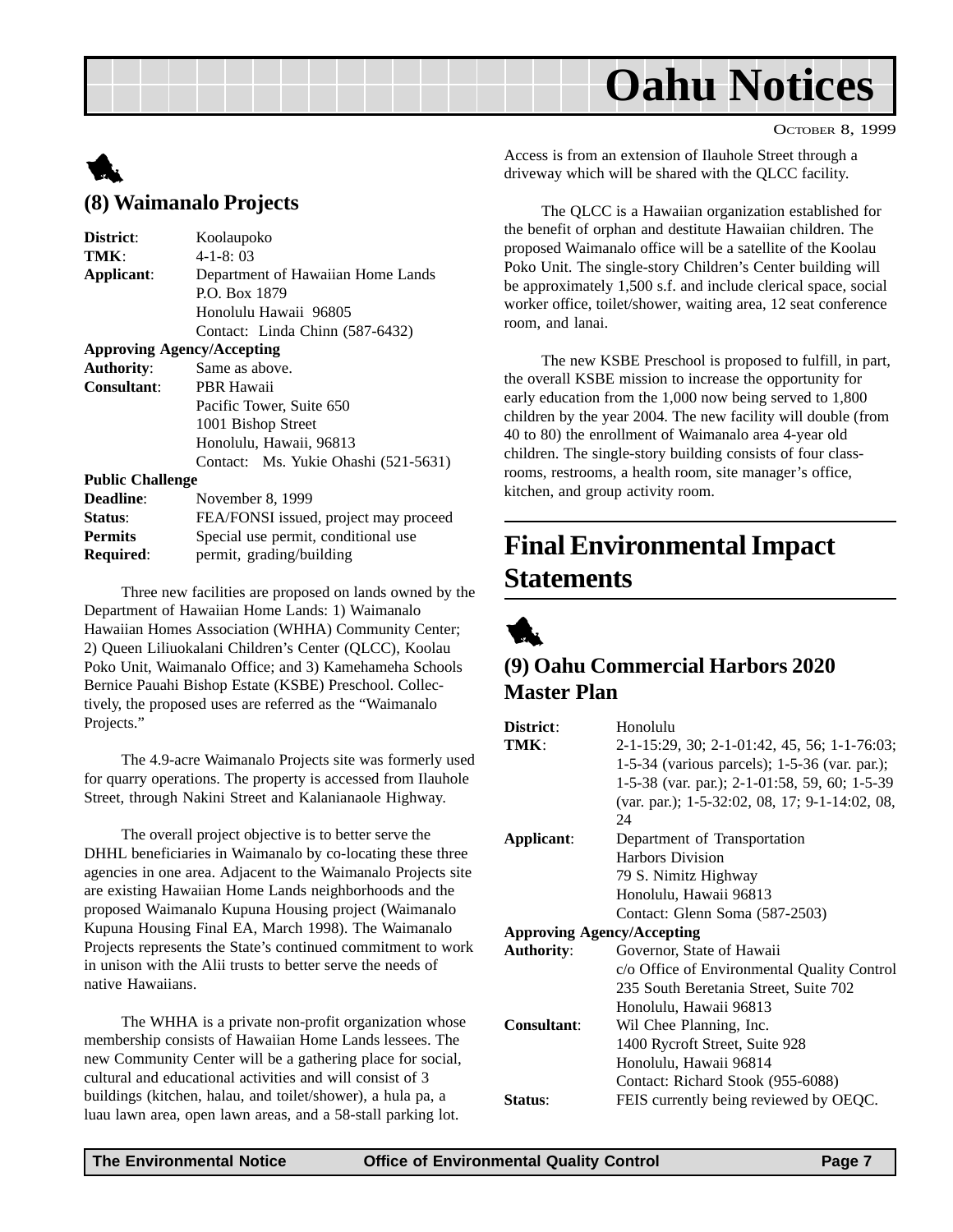<span id="page-6-0"></span>

### **(8) Waimanalo Projects**

| <b>District:</b>                  | Koolaupoko                            |
|-----------------------------------|---------------------------------------|
| TMK:                              | $4 - 1 - 8:03$                        |
| Applicant:                        | Department of Hawaiian Home Lands     |
|                                   | P.O. Box 1879                         |
|                                   | Honolulu Hawaii 96805                 |
|                                   | Contact: Linda Chinn (587-6432)       |
| <b>Approving Agency/Accepting</b> |                                       |
| <b>Authority:</b>                 | Same as above.                        |
| Consultant:                       | PBR Hawaii                            |
|                                   | Pacific Tower, Suite 650              |
|                                   | 1001 Bishop Street                    |
|                                   | Honolulu, Hawaii, 96813               |
|                                   | Contact: Ms. Yukie Ohashi (521-5631)  |
| <b>Public Challenge</b>           |                                       |
| Deadline:                         | November 8, 1999                      |
| Status:                           | FEA/FONSI issued, project may proceed |
| <b>Permits</b>                    | Special use permit, conditional use   |
| Required:                         | permit, grading/building              |
|                                   |                                       |

Three new facilities are proposed on lands owned by the Department of Hawaiian Home Lands: 1) Waimanalo Hawaiian Homes Association (WHHA) Community Center; 2) Queen Liliuokalani Children's Center (QLCC), Koolau Poko Unit, Waimanalo Office; and 3) Kamehameha Schools Bernice Pauahi Bishop Estate (KSBE) Preschool. Collectively, the proposed uses are referred as the "Waimanalo Projects."

The 4.9-acre Waimanalo Projects site was formerly used for quarry operations. The property is accessed from Ilauhole Street, through Nakini Street and Kalanianaole Highway.

The overall project objective is to better serve the DHHL beneficiaries in Waimanalo by co-locating these three agencies in one area. Adjacent to the Waimanalo Projects site are existing Hawaiian Home Lands neighborhoods and the proposed Waimanalo Kupuna Housing project (Waimanalo Kupuna Housing Final EA, March 1998). The Waimanalo Projects represents the State's continued commitment to work in unison with the Alii trusts to better serve the needs of native Hawaiians.

The WHHA is a private non-profit organization whose membership consists of Hawaiian Home Lands lessees. The new Community Center will be a gathering place for social, cultural and educational activities and will consist of 3 buildings (kitchen, halau, and toilet/shower), a hula pa, a luau lawn area, open lawn areas, and a 58-stall parking lot.

Access is from an extension of Ilauhole Street through a driveway which will be shared with the QLCC facility.

The QLCC is a Hawaiian organization established for the benefit of orphan and destitute Hawaiian children. The proposed Waimanalo office will be a satellite of the Koolau Poko Unit. The single-story Children's Center building will be approximately 1,500 s.f. and include clerical space, social worker office, toilet/shower, waiting area, 12 seat conference room, and lanai.

The new KSBE Preschool is proposed to fulfill, in part, the overall KSBE mission to increase the opportunity for early education from the 1,000 now being served to 1,800 children by the year 2004. The new facility will double (from 40 to 80) the enrollment of Waimanalo area 4-year old children. The single-story building consists of four classrooms, restrooms, a health room, site manager's office, kitchen, and group activity room.

## **Final Environmental Impact Statements**



### **(9) Oahu Commercial Harbors 2020 Master Plan**

| District:                         | Honolulu                                       |
|-----------------------------------|------------------------------------------------|
| TMK:                              | 2-1-15:29, 30; 2-1-01:42, 45, 56; 1-1-76:03;   |
|                                   | 1-5-34 (various parcels); 1-5-36 (var. par.);  |
|                                   | 1-5-38 (var. par.); 2-1-01:58, 59, 60; 1-5-39  |
|                                   | (var. par.); 1-5-32:02, 08, 17; 9-1-14:02, 08, |
|                                   | 24                                             |
| Applicant:                        | Department of Transportation                   |
|                                   | <b>Harbors Division</b>                        |
|                                   | 79 S. Nimitz Highway                           |
|                                   | Honolulu, Hawaii 96813                         |
|                                   | Contact: Glenn Soma (587-2503)                 |
| <b>Approving Agency/Accepting</b> |                                                |
| <b>Authority:</b>                 | Governor, State of Hawaii                      |
|                                   | c/o Office of Environmental Quality Control    |
|                                   | 235 South Beretania Street, Suite 702          |
|                                   | Honolulu, Hawaii 96813                         |
| <b>Consultant:</b>                | Wil Chee Planning, Inc.                        |
|                                   | 1400 Rycroft Street, Suite 928                 |
|                                   | Honolulu, Hawaii 96814                         |
|                                   | Contact: Richard Stook (955-6088)              |
| <b>Status:</b>                    | FEIS currently being reviewed by OEQC.         |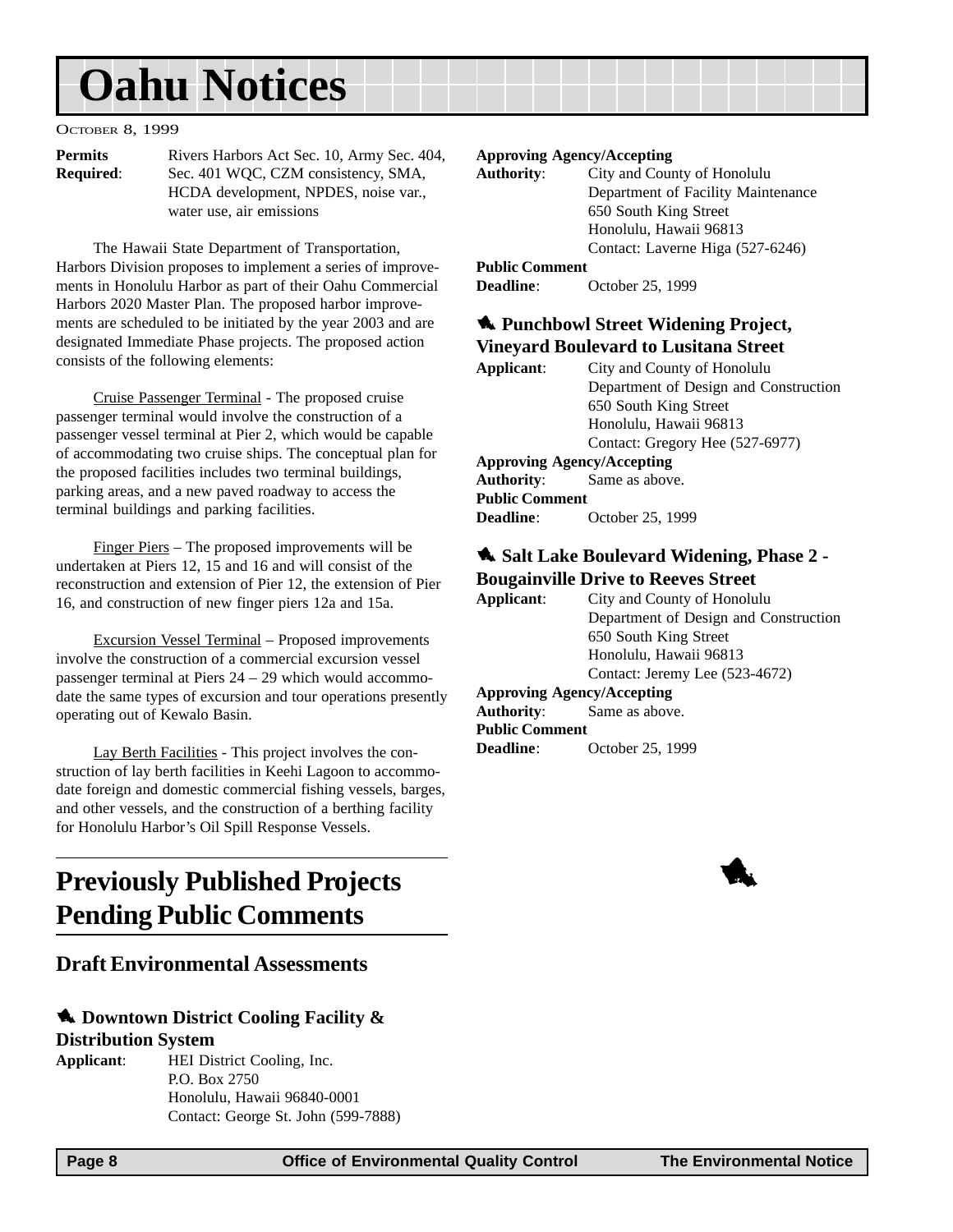<span id="page-7-0"></span>OCTOBER 8, 1999

**Permits** Rivers Harbors Act Sec. 10, Army Sec. 404, **Required**: Sec. 401 WQC, CZM consistency, SMA, HCDA development, NPDES, noise var., water use, air emissions

The Hawaii State Department of Transportation, Harbors Division proposes to implement a series of improvements in Honolulu Harbor as part of their Oahu Commercial Harbors 2020 Master Plan. The proposed harbor improvements are scheduled to be initiated by the year 2003 and are designated Immediate Phase projects. The proposed action consists of the following elements:

Cruise Passenger Terminal - The proposed cruise passenger terminal would involve the construction of a passenger vessel terminal at Pier 2, which would be capable of accommodating two cruise ships. The conceptual plan for the proposed facilities includes two terminal buildings, parking areas, and a new paved roadway to access the terminal buildings and parking facilities.

Finger Piers – The proposed improvements will be undertaken at Piers 12, 15 and 16 and will consist of the reconstruction and extension of Pier 12, the extension of Pier 16, and construction of new finger piers 12a and 15a.

Excursion Vessel Terminal – Proposed improvements involve the construction of a commercial excursion vessel passenger terminal at Piers 24 – 29 which would accommodate the same types of excursion and tour operations presently operating out of Kewalo Basin.

Lay Berth Facilities - This project involves the construction of lay berth facilities in Keehi Lagoon to accommodate foreign and domestic commercial fishing vessels, barges, and other vessels, and the construction of a berthing facility for Honolulu Harbor's Oil Spill Response Vessels.

## **Previously Published Projects Pending Public Comments**

### **Draft Environmental Assessments**

### 1 **Downtown District Cooling Facility & Distribution System**

**Applicant**: HEI District Cooling, Inc. P.O. Box 2750 Honolulu, Hawaii 96840-0001 Contact: George St. John (599-7888)

#### **Approving Agency/Accepting**

| <b>Authority:</b>                                           | City and County of Honolulu        |
|-------------------------------------------------------------|------------------------------------|
|                                                             | Department of Facility Maintenance |
|                                                             | 650 South King Street              |
|                                                             | Honolulu, Hawaii 96813             |
|                                                             | Contact: Laverne Higa (527-6246)   |
| $\mathbf{D}$ , $\mathbf{E}$ , $\mathbf{C}$ and $\mathbf{C}$ |                                    |

#### **Public Comment**

**Deadline**: October 25, 1999

### 1 **Punchbowl Street Widening Project, Vineyard Boulevard to Lusitana Street**

| Applicant:                        | City and County of Honolulu           |
|-----------------------------------|---------------------------------------|
|                                   | Department of Design and Construction |
|                                   | 650 South King Street                 |
|                                   | Honolulu, Hawaii 96813                |
|                                   | Contact: Gregory Hee (527-6977)       |
| <b>Approving Agency/Accepting</b> |                                       |
| <b>Authority:</b>                 | Same as above.                        |
| <b>Public Comment</b>             |                                       |
|                                   |                                       |

**Deadline**: October 25, 1999

### 1 **Salt Lake Boulevard Widening, Phase 2 - Bougainville Drive to Reeves Street**

| Applicant:                        | City and County of Honolulu           |  |
|-----------------------------------|---------------------------------------|--|
|                                   | Department of Design and Construction |  |
|                                   | 650 South King Street                 |  |
|                                   | Honolulu, Hawaii 96813                |  |
|                                   | Contact: Jeremy Lee (523-4672)        |  |
| <b>Approving Agency/Accepting</b> |                                       |  |
| <b>Authority:</b>                 | Same as above.                        |  |
| <b>Public Comment</b>             |                                       |  |
| <b>Deadline:</b>                  | October 25, 1999                      |  |

1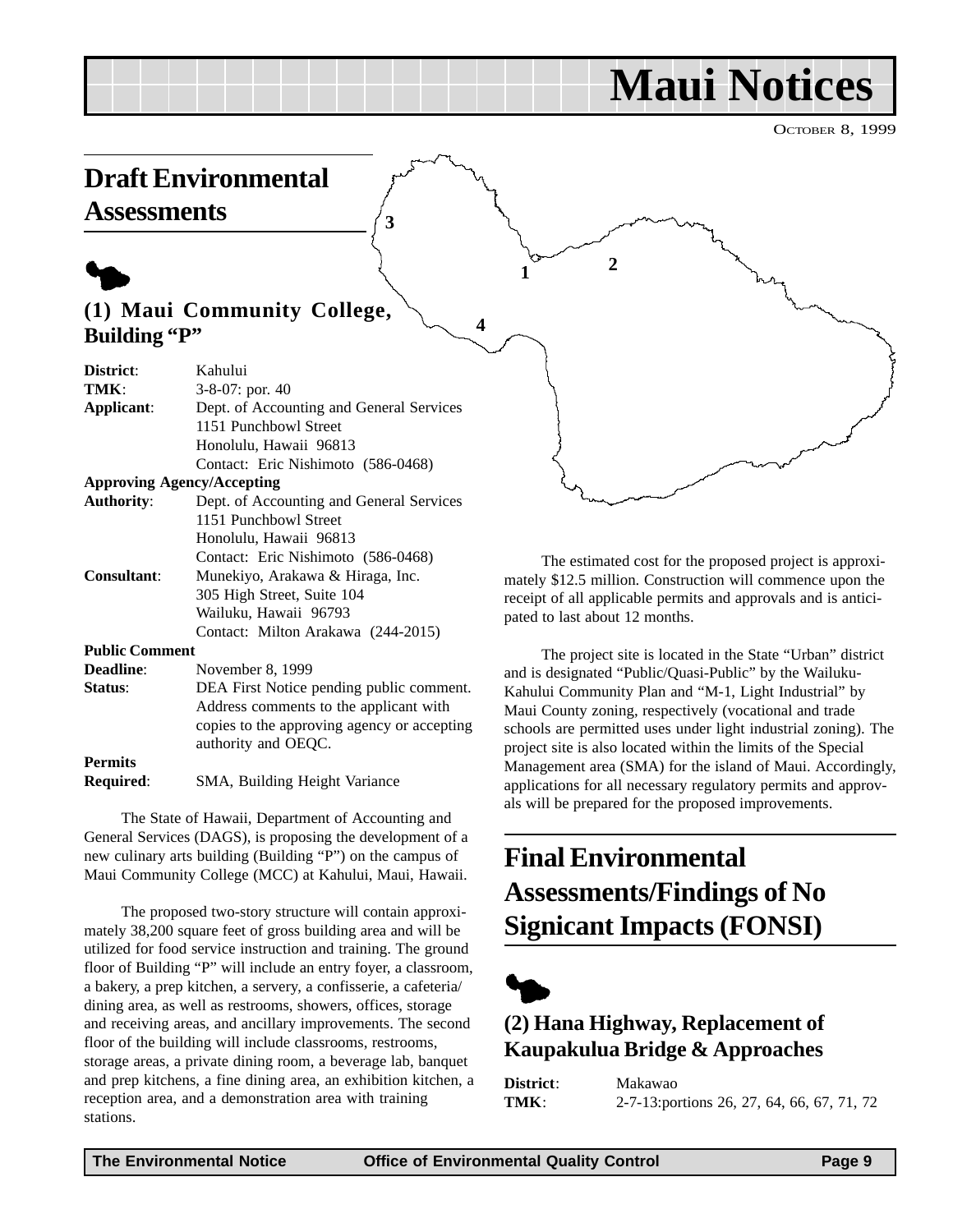## **Maui Notices**

OCTOBER 8, 1999

<span id="page-8-0"></span>

|                                   | Contact: Eric Nishimoto (586-0468)          |  |
|-----------------------------------|---------------------------------------------|--|
| <b>Approving Agency/Accepting</b> |                                             |  |
| <b>Authority:</b>                 | Dept. of Accounting and General Services    |  |
|                                   | 1151 Punchbowl Street                       |  |
|                                   | Honolulu, Hawaii 96813                      |  |
|                                   | Contact: Eric Nishimoto (586-0468)          |  |
| Consultant:                       | Munekiyo, Arakawa & Hiraga, Inc.            |  |
|                                   | 305 High Street, Suite 104                  |  |
|                                   | Wailuku, Hawaii 96793                       |  |
|                                   | Contact: Milton Arakawa (244-2015)          |  |
| <b>Public Comment</b>             |                                             |  |
| <b>Deadline:</b>                  | November 8, 1999                            |  |
| Status:                           | DEA First Notice pending public comment.    |  |
|                                   | Address comments to the applicant with      |  |
|                                   | copies to the approving agency or accepting |  |
|                                   | authority and OEQC.                         |  |
| <b>Permits</b>                    |                                             |  |
| Required:                         | SMA, Building Height Variance               |  |

The State of Hawaii, Department of Accounting and General Services (DAGS), is proposing the development of a new culinary arts building (Building "P") on the campus of Maui Community College (MCC) at Kahului, Maui, Hawaii.

The proposed two-story structure will contain approximately 38,200 square feet of gross building area and will be utilized for food service instruction and training. The ground floor of Building "P" will include an entry foyer, a classroom, a bakery, a prep kitchen, a servery, a confisserie, a cafeteria/ dining area, as well as restrooms, showers, offices, storage and receiving areas, and ancillary improvements. The second floor of the building will include classrooms, restrooms, storage areas, a private dining room, a beverage lab, banquet and prep kitchens, a fine dining area, an exhibition kitchen, a reception area, and a demonstration area with training stations.

The estimated cost for the proposed project is approximately \$12.5 million. Construction will commence upon the receipt of all applicable permits and approvals and is anticipated to last about 12 months.

The project site is located in the State "Urban" district and is designated "Public/Quasi-Public" by the Wailuku-Kahului Community Plan and "M-1, Light Industrial" by Maui County zoning, respectively (vocational and trade schools are permitted uses under light industrial zoning). The project site is also located within the limits of the Special Management area (SMA) for the island of Maui. Accordingly, applications for all necessary regulatory permits and approvals will be prepared for the proposed improvements.

## **Final Environmental Assessments/Findings of No Signicant Impacts (FONSI)**



## **(2) Hana Highway, Replacement of Kaupakulua Bridge & Approaches**

| District: | Makawao                                     |
|-----------|---------------------------------------------|
| TMK:      | 2-7-13: portions 26, 27, 64, 66, 67, 71, 72 |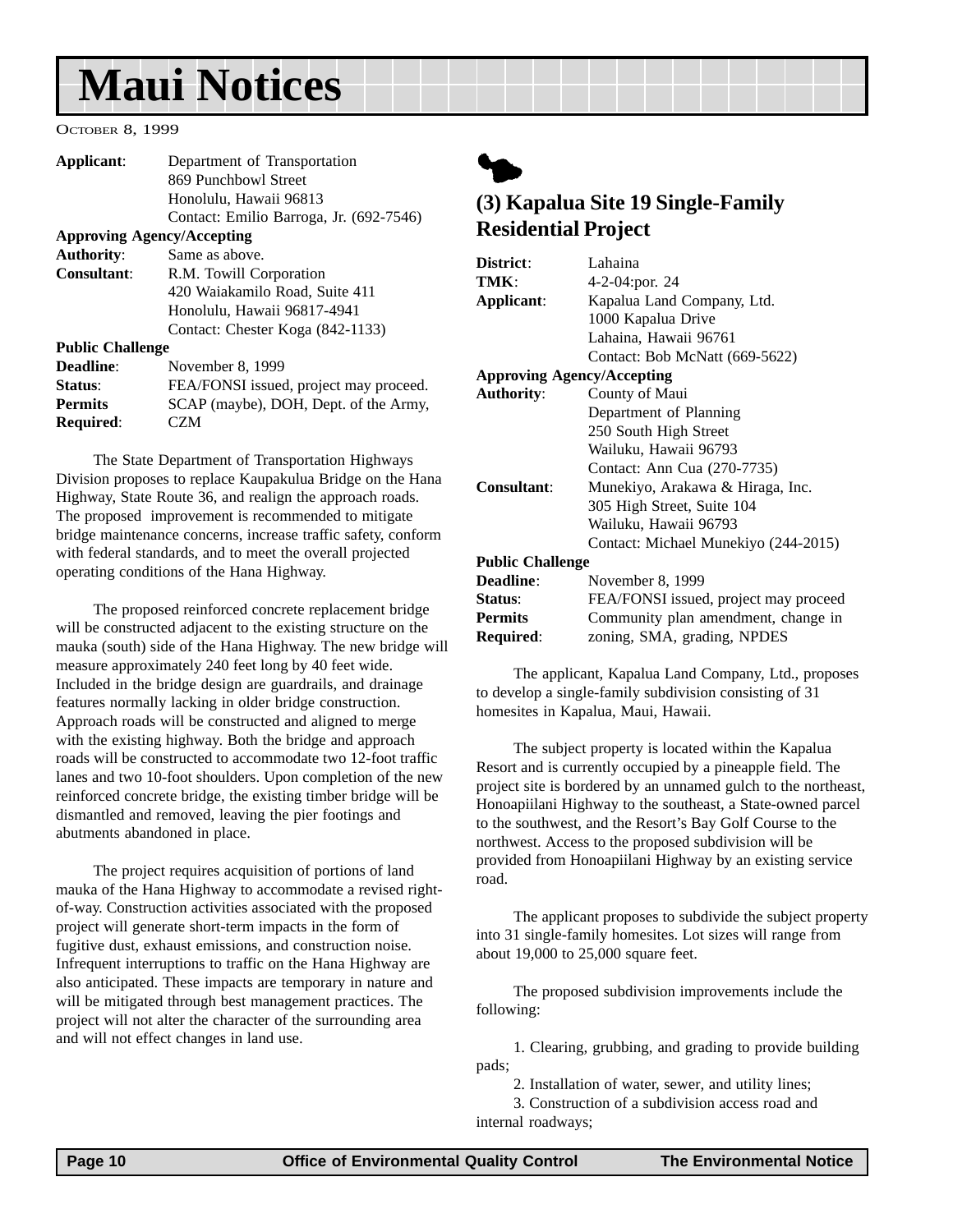## <span id="page-9-0"></span>**Maui Notices**

#### OCTOBER 8, 1999

| Applicant:                        | Department of Transportation            |
|-----------------------------------|-----------------------------------------|
|                                   | 869 Punchbowl Street                    |
|                                   | Honolulu, Hawaii 96813                  |
|                                   | Contact: Emilio Barroga, Jr. (692-7546) |
| <b>Approving Agency/Accepting</b> |                                         |
| <b>Authority:</b>                 | Same as above.                          |
| Consultant:                       | R.M. Towill Corporation                 |
|                                   | 420 Waiakamilo Road, Suite 411          |
|                                   | Honolulu, Hawaii 96817-4941             |
|                                   | Contact: Chester Koga (842-1133)        |
| <b>Public Challenge</b>           |                                         |
| Deadline:                         | November 8, 1999                        |
| Status:                           | FEA/FONSI issued, project may proceed.  |
| <b>Permits</b>                    | SCAP (maybe), DOH, Dept. of the Army,   |
| <b>Required:</b>                  | CZM                                     |

The State Department of Transportation Highways Division proposes to replace Kaupakulua Bridge on the Hana Highway, State Route 36, and realign the approach roads. The proposed improvement is recommended to mitigate bridge maintenance concerns, increase traffic safety, conform with federal standards, and to meet the overall projected operating conditions of the Hana Highway.

The proposed reinforced concrete replacement bridge will be constructed adjacent to the existing structure on the mauka (south) side of the Hana Highway. The new bridge will measure approximately 240 feet long by 40 feet wide. Included in the bridge design are guardrails, and drainage features normally lacking in older bridge construction. Approach roads will be constructed and aligned to merge with the existing highway. Both the bridge and approach roads will be constructed to accommodate two 12-foot traffic lanes and two 10-foot shoulders. Upon completion of the new reinforced concrete bridge, the existing timber bridge will be dismantled and removed, leaving the pier footings and abutments abandoned in place.

The project requires acquisition of portions of land mauka of the Hana Highway to accommodate a revised rightof-way. Construction activities associated with the proposed project will generate short-term impacts in the form of fugitive dust, exhaust emissions, and construction noise. Infrequent interruptions to traffic on the Hana Highway are also anticipated. These impacts are temporary in nature and will be mitigated through best management practices. The project will not alter the character of the surrounding area and will not effect changes in land use.



### **(3) Kapalua Site 19 Single-Family Residential Project**

| District:               | Lahaina                               |
|-------------------------|---------------------------------------|
| TMK:                    | 4-2-04:por. 24                        |
| Applicant:              | Kapalua Land Company, Ltd.            |
|                         | 1000 Kapalua Drive                    |
|                         | Lahaina, Hawaii 96761                 |
|                         | Contact: Bob McNatt (669-5622)        |
|                         | <b>Approving Agency/Accepting</b>     |
| <b>Authority:</b>       | County of Maui                        |
|                         | Department of Planning                |
|                         | 250 South High Street                 |
|                         | Wailuku, Hawaii 96793                 |
|                         | Contact: Ann Cua (270-7735)           |
| <b>Consultant:</b>      | Munekiyo, Arakawa & Hiraga, Inc.      |
|                         | 305 High Street, Suite 104            |
|                         | Wailuku, Hawaii 96793                 |
|                         | Contact: Michael Munekiyo (244-2015)  |
| <b>Public Challenge</b> |                                       |
| <b>Deadline:</b>        | November 8, 1999                      |
| Status:                 | FEA/FONSI issued, project may proceed |
| <b>Permits</b>          | Community plan amendment, change in   |
| Required:               | zoning, SMA, grading, NPDES           |
|                         |                                       |

The applicant, Kapalua Land Company, Ltd., proposes to develop a single-family subdivision consisting of 31 homesites in Kapalua, Maui, Hawaii.

The subject property is located within the Kapalua Resort and is currently occupied by a pineapple field. The project site is bordered by an unnamed gulch to the northeast, Honoapiilani Highway to the southeast, a State-owned parcel to the southwest, and the Resort's Bay Golf Course to the northwest. Access to the proposed subdivision will be provided from Honoapiilani Highway by an existing service road.

The applicant proposes to subdivide the subject property into 31 single-family homesites. Lot sizes will range from about 19,000 to 25,000 square feet.

The proposed subdivision improvements include the following:

1. Clearing, grubbing, and grading to provide building pads;

2. Installation of water, sewer, and utility lines; 3. Construction of a subdivision access road and

internal roadways;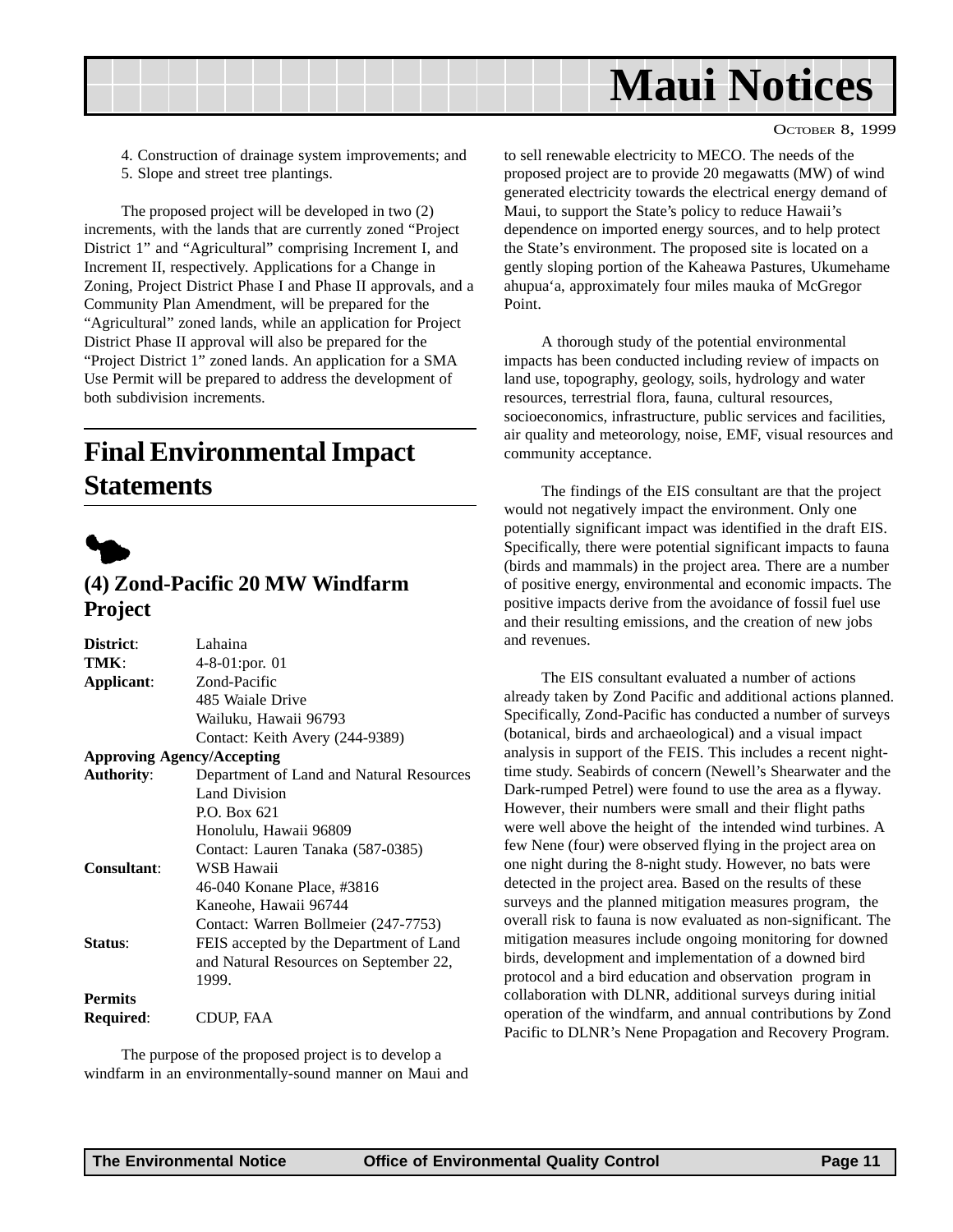<span id="page-10-0"></span>

OCTOBER 8, 1999

- 4. Construction of drainage system improvements; and
- 5. Slope and street tree plantings.

The proposed project will be developed in two (2) increments, with the lands that are currently zoned "Project District 1" and "Agricultural" comprising Increment I, and Increment II, respectively. Applications for a Change in Zoning, Project District Phase I and Phase II approvals, and a Community Plan Amendment, will be prepared for the "Agricultural" zoned lands, while an application for Project District Phase II approval will also be prepared for the "Project District 1" zoned lands. An application for a SMA Use Permit will be prepared to address the development of both subdivision increments.

## **Final Environmental Impact Statements**



### **(4) Zond-Pacific 20 MW Windfarm Project**

| District:         | Lahaina                                  |
|-------------------|------------------------------------------|
| TMK:              | $4 - 8 - 01$ : por. 01                   |
| Applicant:        | Zond-Pacific                             |
|                   | 485 Waiale Drive                         |
|                   | Wailuku, Hawaii 96793                    |
|                   | Contact: Keith Avery (244-9389)          |
|                   | <b>Approving Agency/Accepting</b>        |
| <b>Authority:</b> | Department of Land and Natural Resources |
|                   | Land Division                            |
|                   | P.O. Box 621                             |
|                   | Honolulu, Hawaii 96809                   |
|                   | Contact: Lauren Tanaka (587-0385)        |
| Consultant:       | WSB Hawaii                               |
|                   | 46-040 Konane Place, #3816               |
|                   | Kaneohe, Hawaii 96744                    |
|                   | Contact: Warren Bollmeier (247-7753)     |
| Status:           | FEIS accepted by the Department of Land  |
|                   | and Natural Resources on September 22,   |
|                   | 1999.                                    |
| <b>Permits</b>    |                                          |
| Required:         | CDUP, FAA                                |
|                   |                                          |

The purpose of the proposed project is to develop a windfarm in an environmentally-sound manner on Maui and to sell renewable electricity to MECO. The needs of the proposed project are to provide 20 megawatts (MW) of wind generated electricity towards the electrical energy demand of Maui, to support the State's policy to reduce Hawaii's dependence on imported energy sources, and to help protect the State's environment. The proposed site is located on a gently sloping portion of the Kaheawa Pastures, Ukumehame ahupua'a, approximately four miles mauka of McGregor Point.

A thorough study of the potential environmental impacts has been conducted including review of impacts on land use, topography, geology, soils, hydrology and water resources, terrestrial flora, fauna, cultural resources, socioeconomics, infrastructure, public services and facilities, air quality and meteorology, noise, EMF, visual resources and community acceptance.

The findings of the EIS consultant are that the project would not negatively impact the environment. Only one potentially significant impact was identified in the draft EIS. Specifically, there were potential significant impacts to fauna (birds and mammals) in the project area. There are a number of positive energy, environmental and economic impacts. The positive impacts derive from the avoidance of fossil fuel use and their resulting emissions, and the creation of new jobs and revenues.

The EIS consultant evaluated a number of actions already taken by Zond Pacific and additional actions planned. Specifically, Zond-Pacific has conducted a number of surveys (botanical, birds and archaeological) and a visual impact analysis in support of the FEIS. This includes a recent nighttime study. Seabirds of concern (Newell's Shearwater and the Dark-rumped Petrel) were found to use the area as a flyway. However, their numbers were small and their flight paths were well above the height of the intended wind turbines. A few Nene (four) were observed flying in the project area on one night during the 8-night study. However, no bats were detected in the project area. Based on the results of these surveys and the planned mitigation measures program, the overall risk to fauna is now evaluated as non-significant. The mitigation measures include ongoing monitoring for downed birds, development and implementation of a downed bird protocol and a bird education and observation program in collaboration with DLNR, additional surveys during initial operation of the windfarm, and annual contributions by Zond Pacific to DLNR's Nene Propagation and Recovery Program.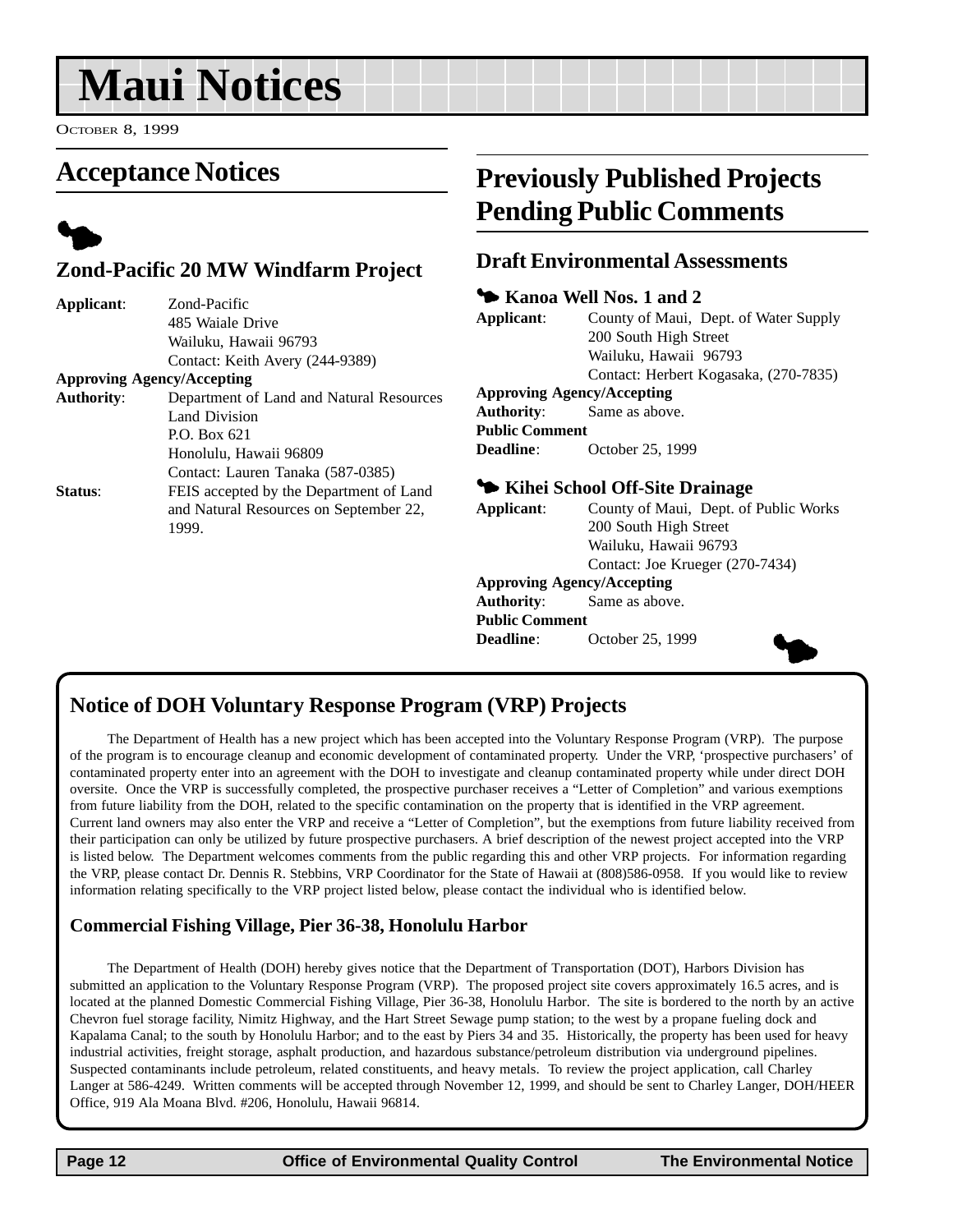## <span id="page-11-0"></span>**Maui Notices**

OCTOBER 8, 1999

## **Acceptance Notices**



### **Zond-Pacific 20 MW Windfarm Project**

| Applicant: | Zond-Pacific                             |
|------------|------------------------------------------|
|            | 485 Waiale Drive                         |
|            | Wailuku, Hawaii 96793                    |
|            | Contact: Keith Avery (244-9389)          |
|            | <b>Approving Agency/Accepting</b>        |
| Authority: | Department of Land and Natural Resources |
|            | Land Division                            |
|            | P.O. Box 621                             |
|            | Honolulu, Hawaii 96809                   |
|            | Contact: Lauren Tanaka (587-0385)        |
| Status:    | FEIS accepted by the Department of Land  |
|            | and Natural Resources on September 22,   |
|            | 1999.                                    |
|            |                                          |
|            |                                          |

## **Previously Published Projects Pending Public Comments**

### **Draft Environmental Assessments**

### 3 **Kanoa Well Nos. 1 and 2**

```
Applicant: County of Maui, Dept. of Water Supply
   200 South High Street
   Wailuku, Hawaii 96793
   Contact: Herbert Kogasaka, (270-7835)
```
#### **Approving Agency/Accepting**

**Authority**: Same as above. **Public Comment Deadline**: October 25, 1999

### 3 **Kihei School Off-Site Drainage**

**Applicant**: County of Maui, Dept. of Public Works 200 South High Street Wailuku, Hawaii 96793 Contact: Joe Krueger (270-7434)

#### **Approving Agency/Accepting**

**Authority**: Same as above. **Public Comment Deadline**: October 25, 1999



### **Notice of DOH Voluntary Response Program (VRP) Projects**

The Department of Health has a new project which has been accepted into the Voluntary Response Program (VRP). The purpose of the program is to encourage cleanup and economic development of contaminated property. Under the VRP, 'prospective purchasers' of contaminated property enter into an agreement with the DOH to investigate and cleanup contaminated property while under direct DOH oversite. Once the VRP is successfully completed, the prospective purchaser receives a "Letter of Completion" and various exemptions from future liability from the DOH, related to the specific contamination on the property that is identified in the VRP agreement. Current land owners may also enter the VRP and receive a "Letter of Completion", but the exemptions from future liability received from their participation can only be utilized by future prospective purchasers. A brief description of the newest project accepted into the VRP is listed below. The Department welcomes comments from the public regarding this and other VRP projects. For information regarding the VRP, please contact Dr. Dennis R. Stebbins, VRP Coordinator for the State of Hawaii at (808)586-0958. If you would like to review information relating specifically to the VRP project listed below, please contact the individual who is identified below.

### **Commercial Fishing Village, Pier 36-38, Honolulu Harbor**

The Department of Health (DOH) hereby gives notice that the Department of Transportation (DOT), Harbors Division has submitted an application to the Voluntary Response Program (VRP). The proposed project site covers approximately 16.5 acres, and is located at the planned Domestic Commercial Fishing Village, Pier 36-38, Honolulu Harbor. The site is bordered to the north by an active Chevron fuel storage facility, Nimitz Highway, and the Hart Street Sewage pump station; to the west by a propane fueling dock and Kapalama Canal; to the south by Honolulu Harbor; and to the east by Piers 34 and 35. Historically, the property has been used for heavy industrial activities, freight storage, asphalt production, and hazardous substance/petroleum distribution via underground pipelines. Suspected contaminants include petroleum, related constituents, and heavy metals. To review the project application, call Charley Langer at 586-4249. Written comments will be accepted through November 12, 1999, and should be sent to Charley Langer, DOH/HEER Office, 919 Ala Moana Blvd. #206, Honolulu, Hawaii 96814.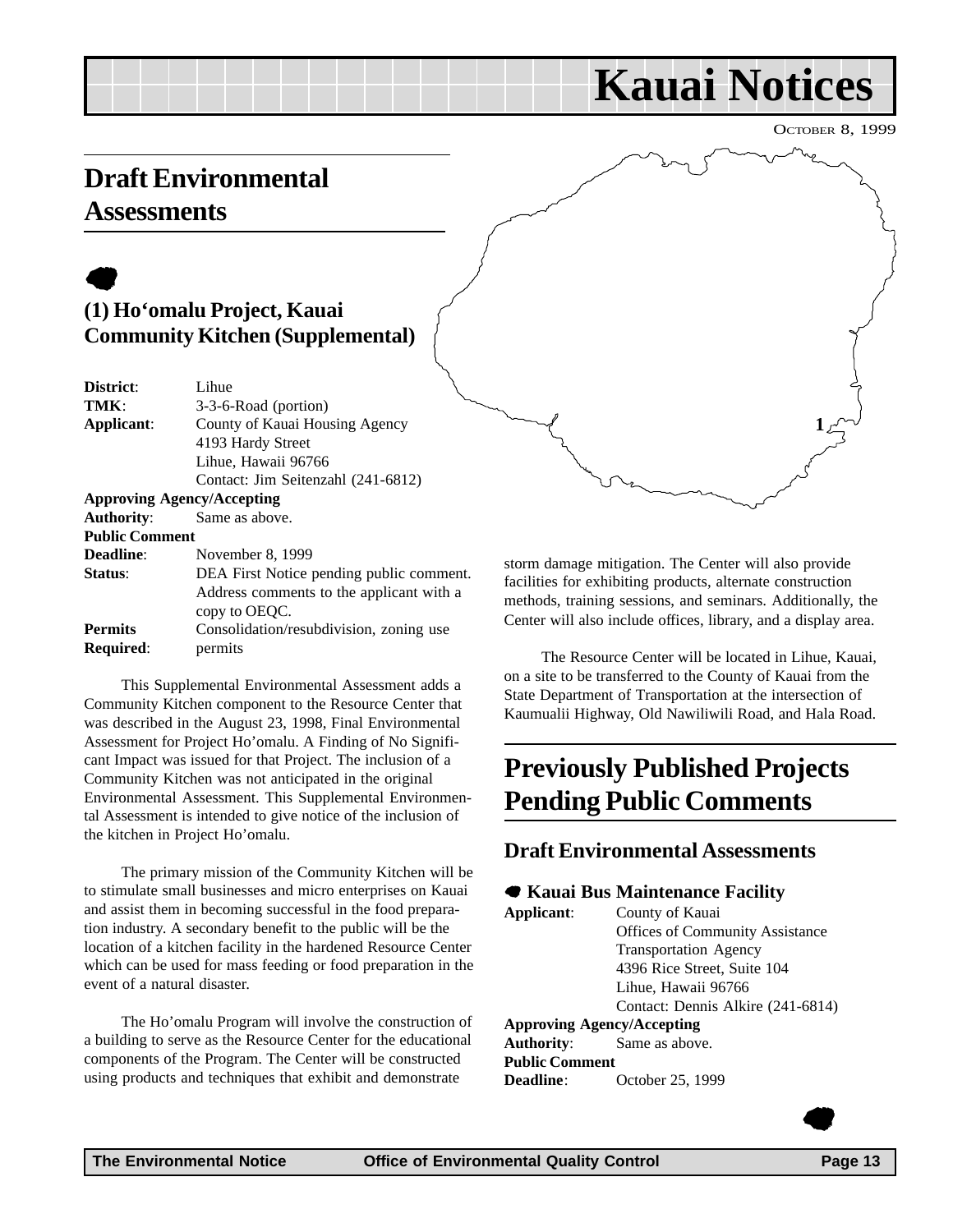## **Kauai Notices**

OCTOBER 8, 1999

**1**

## <span id="page-12-0"></span>**Draft Environmental Assessments**

## $\bullet$ **(1) Ho'omalu Project, Kauai Community Kitchen (Supplemental)**

| District:             | Lihue                                                     |
|-----------------------|-----------------------------------------------------------|
| TMK:                  | 3-3-6-Road (portion)                                      |
| Applicant:            | County of Kauai Housing Agency                            |
|                       | 4193 Hardy Street                                         |
|                       | Lihue, Hawaii 96766                                       |
|                       | Contact: Jim Seitenzahl (241-6812)                        |
|                       | <b>Approving Agency/Accepting</b>                         |
| Authority:            | Same as above.                                            |
| <b>Public Comment</b> |                                                           |
| Deadline:             | November 8, 1999                                          |
| Status:               | DEA First Notice pending public comment.                  |
|                       | Address comments to the applicant with a<br>copy to OEQC. |
| <b>Permits</b>        | Consolidation/resubdivision, zoning use                   |
| Required:             | permits                                                   |

This Supplemental Environmental Assessment adds a Community Kitchen component to the Resource Center that was described in the August 23, 1998, Final Environmental Assessment for Project Ho'omalu. A Finding of No Significant Impact was issued for that Project. The inclusion of a Community Kitchen was not anticipated in the original Environmental Assessment. This Supplemental Environmental Assessment is intended to give notice of the inclusion of the kitchen in Project Ho'omalu.

The primary mission of the Community Kitchen will be to stimulate small businesses and micro enterprises on Kauai and assist them in becoming successful in the food preparation industry. A secondary benefit to the public will be the location of a kitchen facility in the hardened Resource Center which can be used for mass feeding or food preparation in the event of a natural disaster.

The Ho'omalu Program will involve the construction of a building to serve as the Resource Center for the educational components of the Program. The Center will be constructed using products and techniques that exhibit and demonstrate

storm damage mitigation. The Center will also provide facilities for exhibiting products, alternate construction methods, training sessions, and seminars. Additionally, the Center will also include offices, library, and a display area.

The Resource Center will be located in Lihue, Kauai, on a site to be transferred to the County of Kauai from the State Department of Transportation at the intersection of Kaumualii Highway, Old Nawiliwili Road, and Hala Road.

## **Previously Published Projects Pending Public Comments**

### **Draft Environmental Assessments**

### 7 **Kauai Bus Maintenance Facility**

**Applicant**: County of Kauai Offices of Community Assistance Transportation Agency 4396 Rice Street, Suite 104 Lihue, Hawaii 96766 Contact: Dennis Alkire (241-6814) **Approving Agency/Accepting Authority**: Same as above. **Public Comment Deadline**: October 25, 1999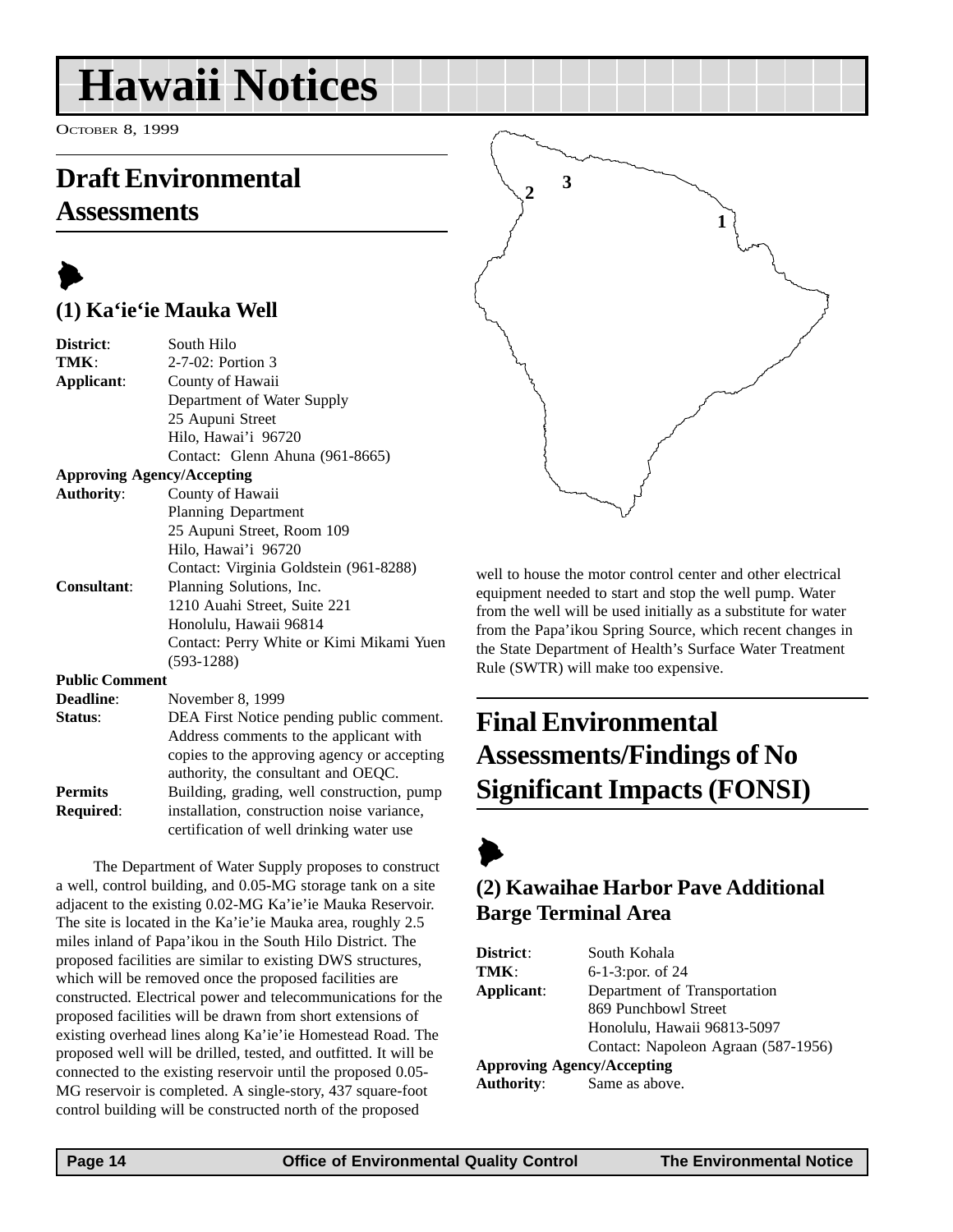## <span id="page-13-0"></span>**Hawaii Notices**

OCTOBER 8, 1999

## **Draft Environmental Assessments**

## $\blacktriangleright$

### **(1) Ka'ie'ie Mauka Well**

| District:                       | South Hilo                                                        |
|---------------------------------|-------------------------------------------------------------------|
| TMK:                            | 2-7-02: Portion 3                                                 |
| Applicant:                      | County of Hawaii                                                  |
|                                 | Department of Water Supply                                        |
|                                 | 25 Aupuni Street                                                  |
|                                 | Hilo, Hawai'i 96720                                               |
|                                 | Contact: Glenn Ahuna (961-8665)                                   |
|                                 | <b>Approving Agency/Accepting</b>                                 |
| <b>Authority:</b>               | County of Hawaii                                                  |
|                                 | <b>Planning Department</b>                                        |
|                                 | 25 Aupuni Street, Room 109                                        |
|                                 | Hilo, Hawai'i 96720                                               |
|                                 | Contact: Virginia Goldstein (961-8288)                            |
| <b>Consultant:</b>              | Planning Solutions, Inc.                                          |
|                                 | 1210 Auahi Street, Suite 221                                      |
|                                 | Honolulu, Hawaii 96814                                            |
|                                 | Contact: Perry White or Kimi Mikami Yuen                          |
|                                 | $(593-1288)$                                                      |
| <b>Public Comment</b>           |                                                                   |
| Deadline:                       | November 8, 1999                                                  |
| Status:                         | DEA First Notice pending public comment.                          |
|                                 | Address comments to the applicant with                            |
|                                 | copies to the approving agency or accepting                       |
|                                 | authority, the consultant and OEQC.                               |
| <b>Permits</b>                  | Building, grading, well construction, pump                        |
| $\mathbf{D}$ and $\mathbf{J}$ . | ta aka 11 aktora - a a a akan aktora - a a ta a - a a atawa a a - |

**Required:** installation, construction noise variance, certification of well drinking water use

The Department of Water Supply proposes to construct a well, control building, and 0.05-MG storage tank on a site adjacent to the existing 0.02-MG Ka'ie'ie Mauka Reservoir. The site is located in the Ka'ie'ie Mauka area, roughly 2.5 miles inland of Papa'ikou in the South Hilo District. The proposed facilities are similar to existing DWS structures, which will be removed once the proposed facilities are constructed. Electrical power and telecommunications for the proposed facilities will be drawn from short extensions of existing overhead lines along Ka'ie'ie Homestead Road. The proposed well will be drilled, tested, and outfitted. It will be connected to the existing reservoir until the proposed 0.05- MG reservoir is completed. A single-story, 437 square-foot control building will be constructed north of the proposed



well to house the motor control center and other electrical equipment needed to start and stop the well pump. Water from the well will be used initially as a substitute for water from the Papa'ikou Spring Source, which recent changes in the State Department of Health's Surface Water Treatment Rule (SWTR) will make too expensive.

## **Final Environmental Assessments/Findings of No Significant Impacts (FONSI)**



### **(2) Kawaihae Harbor Pave Additional Barge Terminal Area**

| District:         | South Kohala                        |
|-------------------|-------------------------------------|
| TMK:              | $6-1-3$ : por. of 24                |
| Applicant:        | Department of Transportation        |
|                   | 869 Punchbowl Street                |
|                   | Honolulu, Hawaii 96813-5097         |
|                   | Contact: Napoleon Agraan (587-1956) |
|                   | <b>Approving Agency/Accepting</b>   |
| <b>Authority:</b> | Same as above.                      |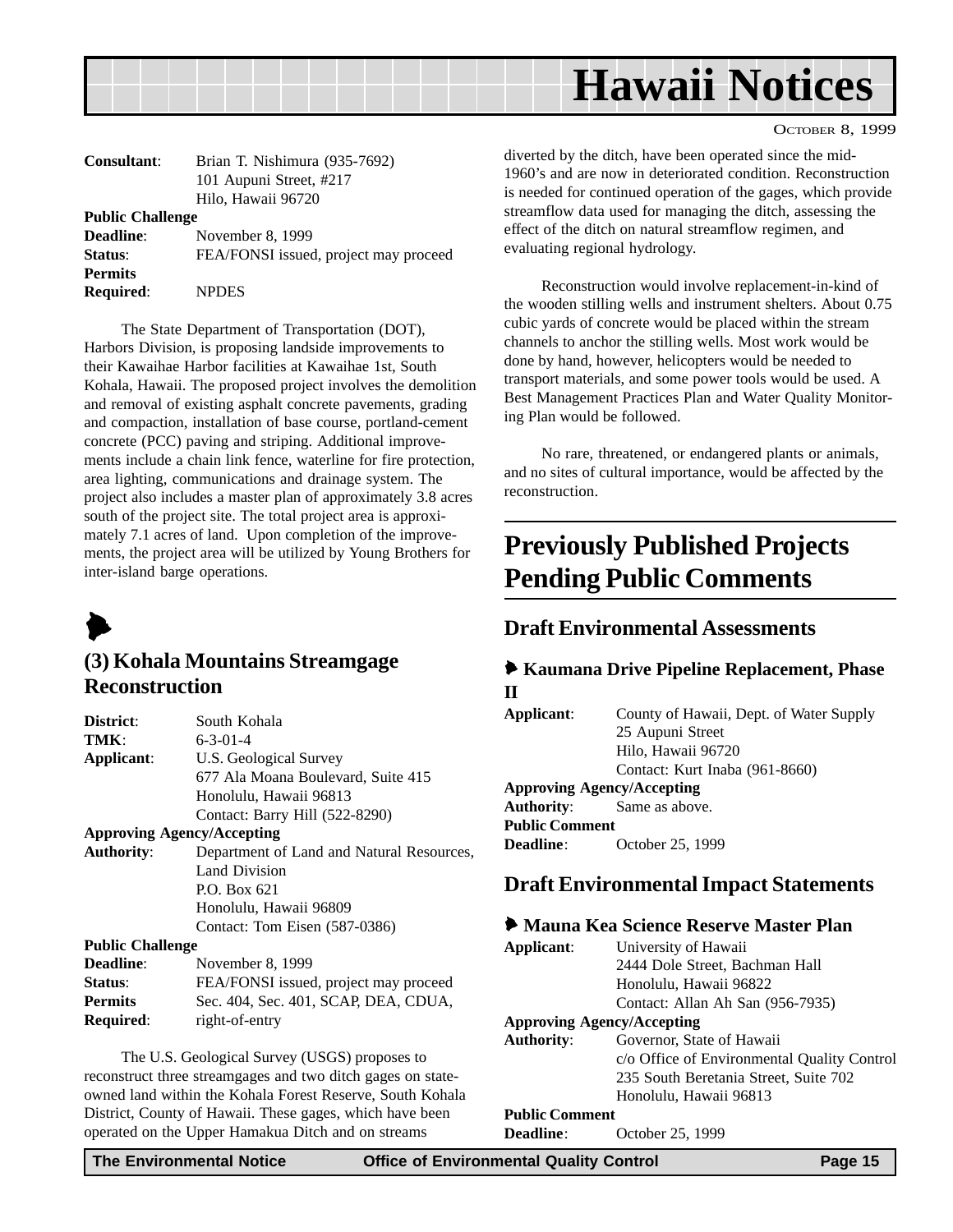<span id="page-14-0"></span>

OCTOBER 8, 1999

| <b>Consultant:</b>      | Brian T. Nishimura (935-7692)         |
|-------------------------|---------------------------------------|
|                         | 101 Aupuni Street, #217               |
|                         | Hilo, Hawaii 96720                    |
| <b>Public Challenge</b> |                                       |
| <b>Deadline:</b>        | November 8, 1999                      |
| Status:                 | FEA/FONSI issued, project may proceed |
| <b>Permits</b>          |                                       |
| <b>Required:</b>        | <b>NPDES</b>                          |

The State Department of Transportation (DOT), Harbors Division, is proposing landside improvements to their Kawaihae Harbor facilities at Kawaihae 1st, South Kohala, Hawaii. The proposed project involves the demolition and removal of existing asphalt concrete pavements, grading and compaction, installation of base course, portland-cement concrete (PCC) paving and striping. Additional improvements include a chain link fence, waterline for fire protection, area lighting, communications and drainage system. The project also includes a master plan of approximately 3.8 acres south of the project site. The total project area is approximately 7.1 acres of land. Upon completion of the improvements, the project area will be utilized by Young Brothers for inter-island barge operations.



### **(3) Kohala Mountains Streamgage Reconstruction**

| District:               | South Kohala                              |
|-------------------------|-------------------------------------------|
| TMK:                    | $6 - 3 - 01 - 4$                          |
| Applicant:              | U.S. Geological Survey                    |
|                         | 677 Ala Moana Boulevard, Suite 415        |
|                         | Honolulu, Hawaii 96813                    |
|                         | Contact: Barry Hill (522-8290)            |
|                         | <b>Approving Agency/Accepting</b>         |
| <b>Authority:</b>       | Department of Land and Natural Resources, |
|                         | Land Division                             |
|                         | P.O. Box 621                              |
|                         | Honolulu, Hawaii 96809                    |
|                         | Contact: Tom Eisen (587-0386)             |
| <b>Public Challenge</b> |                                           |
| <b>Deadline:</b>        | November 8, 1999                          |
| <b>Status:</b>          | FEA/FONSI issued, project may proceed     |

| <b>Status:</b>   | FEA/FONSI issued, project may proceed |
|------------------|---------------------------------------|
| <b>Permits</b>   | Sec. 404, Sec. 401, SCAP, DEA, CDUA,  |
| <b>Required:</b> | right-of-entry                        |

The U.S. Geological Survey (USGS) proposes to reconstruct three streamgages and two ditch gages on stateowned land within the Kohala Forest Reserve, South Kohala District, County of Hawaii. These gages, which have been operated on the Upper Hamakua Ditch and on streams

diverted by the ditch, have been operated since the mid-1960's and are now in deteriorated condition. Reconstruction is needed for continued operation of the gages, which provide streamflow data used for managing the ditch, assessing the effect of the ditch on natural streamflow regimen, and evaluating regional hydrology.

Reconstruction would involve replacement-in-kind of the wooden stilling wells and instrument shelters. About 0.75 cubic yards of concrete would be placed within the stream channels to anchor the stilling wells. Most work would be done by hand, however, helicopters would be needed to transport materials, and some power tools would be used. A Best Management Practices Plan and Water Quality Monitoring Plan would be followed.

No rare, threatened, or endangered plants or animals, and no sites of cultural importance, would be affected by the reconstruction.

## **Previously Published Projects Pending Public Comments**

### **Draft Environmental Assessments**

### 6 **Kaumana Drive Pipeline Replacement, Phase II**

| Applicant:            | County of Hawaii, Dept. of Water Supply |
|-----------------------|-----------------------------------------|
|                       | 25 Aupuni Street                        |
|                       | Hilo, Hawaii 96720                      |
|                       | Contact: Kurt Inaba (961-8660)          |
|                       | <b>Approving Agency/Accepting</b>       |
|                       | <b>Authority:</b> Same as above.        |
| <b>Public Comment</b> |                                         |
| <b>Deadline:</b>      | October 25, 1999                        |

### **Draft Environmental Impact Statements**

### 6 **Mauna Kea Science Reserve Master Plan**

**Applicant**: University of Hawaii 2444 Dole Street, Bachman Hall Honolulu, Hawaii 96822 Contact: Allan Ah San (956-7935) **Approving Agency/Accepting Authority**: Governor, State of Hawaii c/o Office of Environmental Quality Control 235 South Beretania Street, Suite 702 Honolulu, Hawaii 96813

#### **Public Comment**

**Deadline**: October 25, 1999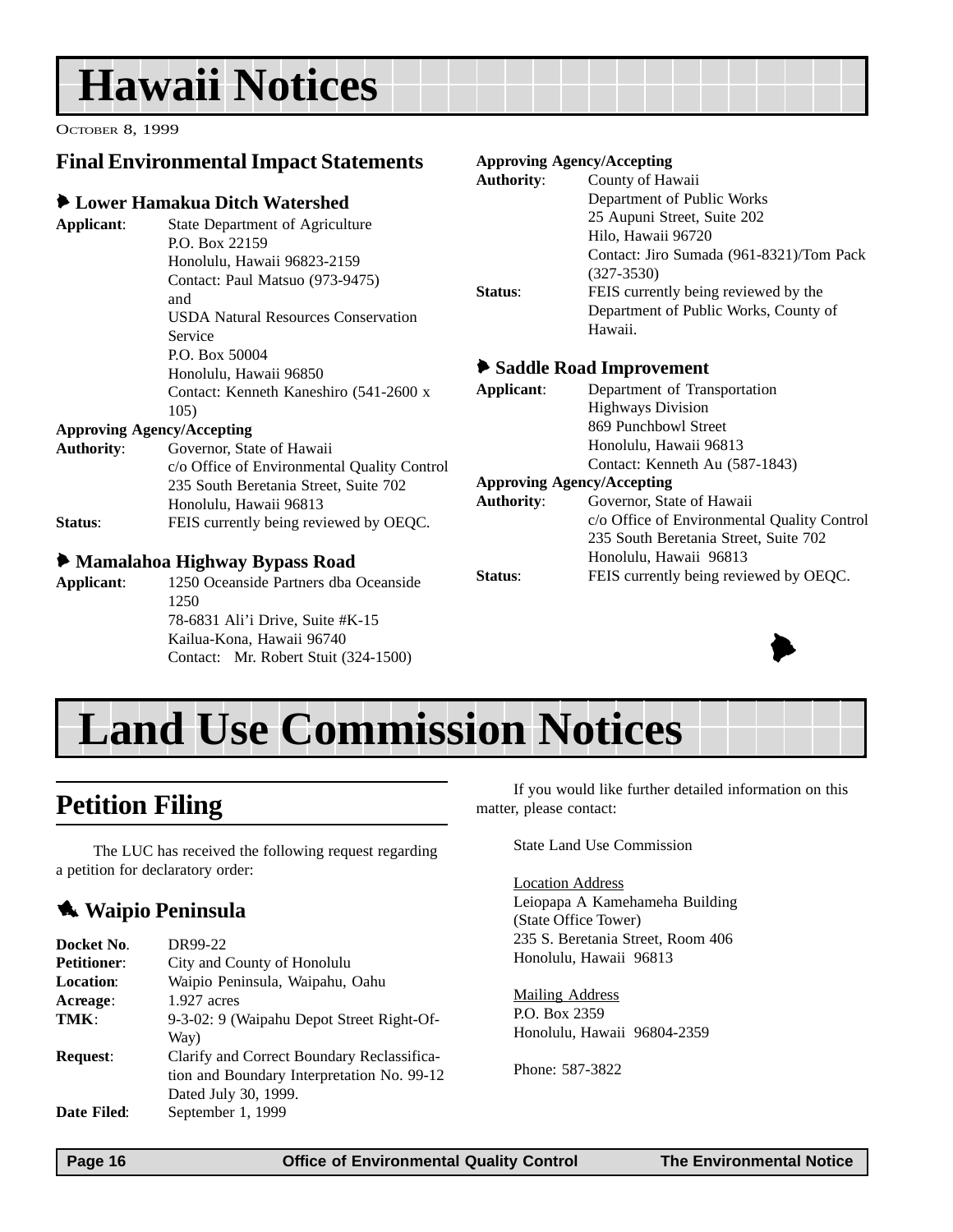## <span id="page-15-0"></span>**Hawaii Notices**

OCTOBER 8, 1999

### **Final Environmental Impact Statements**

### 6 **Lower Hamakua Ditch Watershed**

- **Applicant**: State Department of Agriculture P.O. Box 22159 Honolulu, Hawaii 96823-2159 Contact: Paul Matsuo (973-9475) and USDA Natural Resources Conservation Service P.O. Box 50004 Honolulu, Hawaii 96850 Contact: Kenneth Kaneshiro (541-2600 x 105) **Approving Agency/Accepting Authority**: Governor, State of Hawaii
- c/o Office of Environmental Quality Control 235 South Beretania Street, Suite 702 Honolulu, Hawaii 96813 **Status:** FEIS currently being reviewed by OEQC.

### 6 **Mamalahoa Highway Bypass Road**

**Applicant**: 1250 Oceanside Partners dba Oceanside 1250 78-6831 Ali'i Drive, Suite #K-15 Kailua-Kona, Hawaii 96740 Contact: Mr. Robert Stuit (324-1500)

#### **Approving Agency/Accepting**

| <b>Authority:</b> | County of Hawaii                         |  |  |
|-------------------|------------------------------------------|--|--|
|                   | Department of Public Works               |  |  |
|                   | 25 Aupuni Street, Suite 202              |  |  |
|                   | Hilo, Hawaii 96720                       |  |  |
|                   | Contact: Jiro Sumada (961-8321)/Tom Pack |  |  |
|                   | $(327 - 3530)$                           |  |  |
| Status:           | FEIS currently being reviewed by the     |  |  |
|                   | Department of Public Works, County of    |  |  |
|                   | Hawaii.                                  |  |  |
|                   |                                          |  |  |

### 6 **Saddle Road Improvement**

|                                   | Applicant:        | Department of Transportation                |  |  |
|-----------------------------------|-------------------|---------------------------------------------|--|--|
|                                   |                   | <b>Highways Division</b>                    |  |  |
|                                   |                   | 869 Punchbowl Street                        |  |  |
|                                   |                   | Honolulu, Hawaii 96813                      |  |  |
|                                   |                   | Contact: Kenneth Au (587-1843)              |  |  |
| <b>Approving Agency/Accepting</b> |                   |                                             |  |  |
|                                   | <b>Authority:</b> | Governor, State of Hawaii                   |  |  |
|                                   |                   | c/o Office of Environmental Quality Control |  |  |
|                                   |                   | 235 South Beretania Street, Suite 702       |  |  |
|                                   |                   | Honolulu, Hawaii 96813                      |  |  |
|                                   | Status:           | FEIS currently being reviewed by OEQC.      |  |  |
|                                   |                   |                                             |  |  |



## **Land Use Commission Notices**

## **Petition Filing**

The LUC has received the following request regarding a petition for declaratory order:

## 1 **Waipio Peninsula**

| Docket No.         | DR99-22                                    |  |  |
|--------------------|--------------------------------------------|--|--|
| <b>Petitioner:</b> | City and County of Honolulu                |  |  |
| <b>Location:</b>   | Waipio Peninsula, Waipahu, Oahu            |  |  |
| Acreage:           | $1.927$ acres                              |  |  |
| TMK:               | 9-3-02: 9 (Waipahu Depot Street Right-Of-  |  |  |
|                    | Way)                                       |  |  |
| <b>Request:</b>    | Clarify and Correct Boundary Reclassifica- |  |  |
|                    | tion and Boundary Interpretation No. 99-12 |  |  |
|                    | Dated July 30, 1999.                       |  |  |
| Date Filed:        | September 1, 1999                          |  |  |

If you would like further detailed information on this matter, please contact:

State Land Use Commission

Location Address Leiopapa A Kamehameha Building (State Office Tower) 235 S. Beretania Street, Room 406 Honolulu, Hawaii 96813

Mailing Address P.O. Box 2359 Honolulu, Hawaii 96804-2359

Phone: 587-3822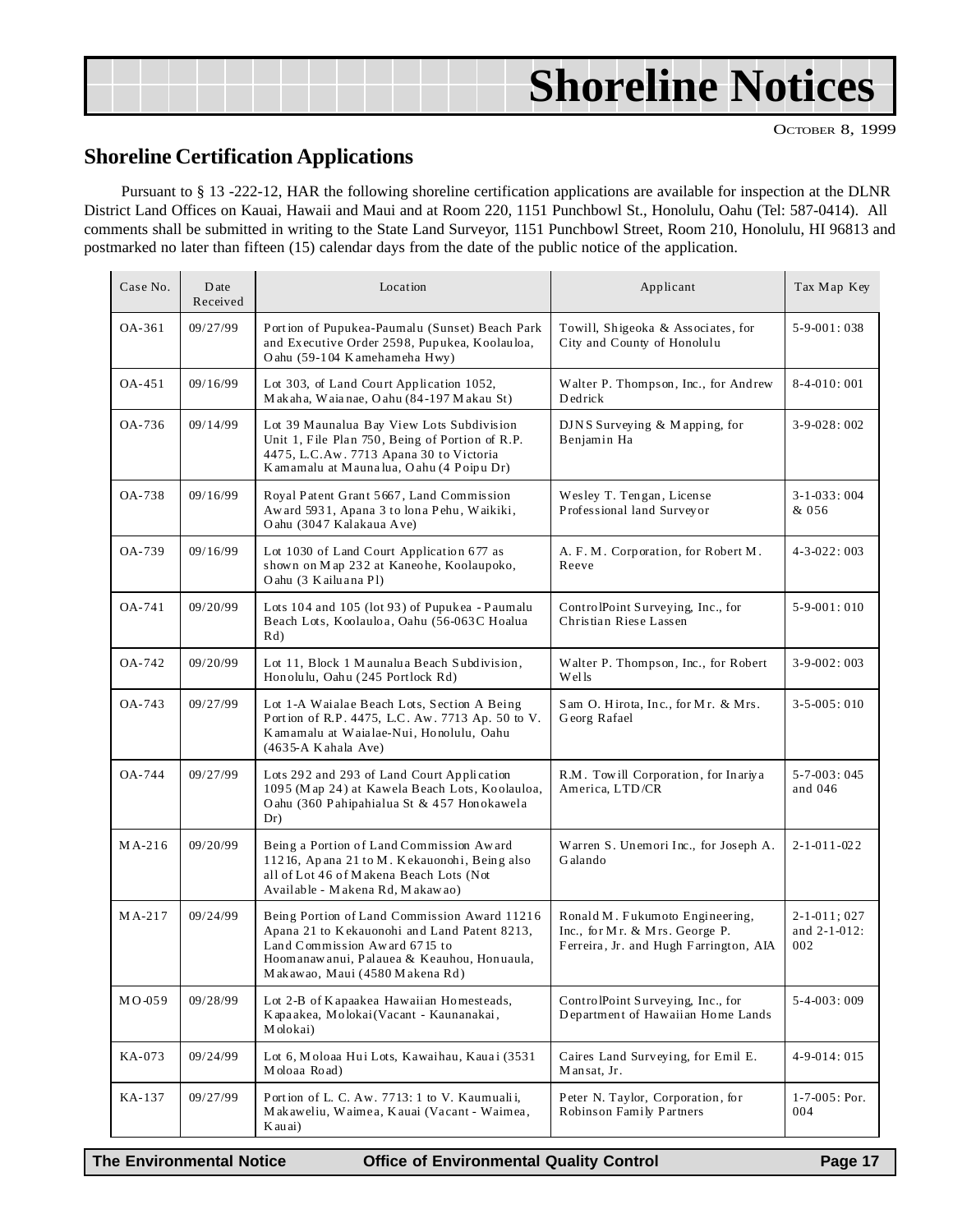## **Shoreline Notices**

OCTOBER 8, 1999

### **Shoreline Certification Applications**

Pursuant to § 13 -222-12, HAR the following shoreline certification applications are available for inspection at the DLNR District Land Offices on Kauai, Hawaii and Maui and at Room 220, 1151 Punchbowl St., Honolulu, Oahu (Tel: 587-0414). All comments shall be submitted in writing to the State Land Surveyor, 1151 Punchbowl Street, Room 210, Honolulu, HI 96813 and postmarked no later than fifteen (15) calendar days from the date of the public notice of the application.

| Case No.      | D at e<br>Received | Location                                                                                                                                                                                                      | Applicant                                                                                                   | Tax Map Key                                |
|---------------|--------------------|---------------------------------------------------------------------------------------------------------------------------------------------------------------------------------------------------------------|-------------------------------------------------------------------------------------------------------------|--------------------------------------------|
| OA-361        | 09/27/99           | Portion of Pupukea-Paumalu (Sunset) Beach Park<br>and Executive Order 2598, Pupukea, Koolauloa,<br>Oahu (59-104 Kamehameha Hwy)                                                                               | Towill, Shigeoka & Associates, for<br>City and County of Honolulu                                           | $5 - 9 - 001 : 038$                        |
| OA-451        | 09/16/99           | Lot 303, of Land Court Application 1052,<br>Makaha, Waianae, Oahu (84-197 Makau St)                                                                                                                           | Walter P. Thompson, Inc., for Andrew<br>Dedrick                                                             | $8-4-010:001$                              |
| OA-736        | 09/14/99           | Lot 39 Maunalua Bay View Lots Subdivision<br>Unit 1, File Plan 750, Being of Portion of R.P.<br>4475, L.C.Aw. 7713 Apana 30 to Victoria<br>Kamamalu at Maunalua, Oahu (4 Poipu Dr)                            | DJNS Surveying & Mapping, for<br>Benjamin Ha                                                                | $3-9-028:002$                              |
| OA-738        | 09/16/99           | Royal Patent Grant 5667, Land Commission<br>Award 5931, Apana 3 to lona Pehu, Waikiki,<br>Oahu (3047 Kalakaua Ave)                                                                                            | Wesley T. Tengan, License<br>Professional land Survey or                                                    | $3 - 1 - 033 : 004$<br>& 056               |
| OA-739        | 09/16/99           | Lot 1030 of Land Court Application 677 as<br>shown on Map 232 at Kaneohe, Koolaupoko,<br>Oahu (3 Kailuana Pl)                                                                                                 | A. F. M. Corporation, for Robert M.<br>Reeve                                                                | $4 - 3 - 022 : 003$                        |
| $OA-741$      | 09/20/99           | Lots 104 and 105 (lot 93) of Pupukea - Paumalu<br>Beach Lots, Koolauloa, Oahu (56-063C Hoalua<br>Rd)                                                                                                          | ControlPoint Surveying, Inc., for<br>Christian Riese Lassen                                                 | $5-9-001:010$                              |
| OA-742        | 09/20/99           | Lot 11, Block 1 Maunalua Beach Subdivision,<br>Honolulu, Oahu (245 Portlock Rd)                                                                                                                               | Walter P. Thompson, Inc., for Robert<br>Wells                                                               | $3-9-002:003$                              |
| $OA-743$      | 09/27/99           | Lot 1-A Waialae Beach Lots, Section A Being<br>Portion of R.P. 4475, L.C. Aw. 7713 Ap. 50 to V.<br>Kamamalu at Waialae-Nui, Honolulu, Oahu<br>$(4635-A$ Kahala Ave)                                           | Sam O. Hirota, Inc., for Mr. & Mrs.<br>Georg Rafael                                                         | $3 - 5 - 005 : 010$                        |
| <b>OA-744</b> | 09/27/99           | Lots 292 and 293 of Land Court Application<br>1095 (Map 24) at Kawela Beach Lots, Koolauloa,<br>Oahu (360 Pahipahialua St & 457 Honokawela<br>Dr)                                                             | R.M. Towill Corporation, for Inariya<br>America, LTD/CR                                                     | $5 - 7 - 003 : 045$<br>and $046$           |
| MA-216        | 09/20/99           | Being a Portion of Land Commission Award<br>11216, Apana 21 to M. Kekauonohi, Being also<br>all of Lot 46 of Makena Beach Lots (Not<br>Available - Makena Rd. Makawao)                                        | Warren S. Unemori Inc., for Joseph A.<br>Galando                                                            | $2 - 1 - 011 - 022$                        |
| MA-217        | 09/24/99           | Being Portion of Land Commission Award 11216<br>Apana 21 to Kekauonohi and Land Patent 8213,<br>Land Commission Award 6715 to<br>Hoomanawanui, Palauea & Keauhou, Honuaula,<br>Makawao, Maui (4580 Makena Rd) | Ronald M. Fukumoto Engineering,<br>Inc., for Mr. & Mrs. George P.<br>Ferreira, Jr. and Hugh Farrington, AIA | $2 - 1 - 011$ ; 027<br>and 2-1-012:<br>002 |
| MO-059        | 09/28/99           | Lot 2-B of Kapaakea Hawaiian Homesteads,<br>Kapaakea, Molokai (Vacant - Kaunanakai,<br>Molokai)                                                                                                               | ControlPoint Surveying, Inc., for<br>Department of Hawaiian Home Lands                                      | $5-4-003:009$                              |
| KA-073        | 09/24/99           | Lot 6, Moloaa Hui Lots, Kawaihau, Kauai (3531<br>Moloaa Road)                                                                                                                                                 | Caires Land Surveying, for Emil E.<br>Mansat, Jr.                                                           | $4-9-014:015$                              |
| KA-137        | 09/27/99           | Portion of L. C. Aw. 7713: 1 to V. Kaumualii,<br>Makaweliu, Waimea, Kauai (Vacant - Waimea,<br>K au ai)                                                                                                       | Peter N. Taylor, Corporation, for<br>Robinson Family Partners                                               | $1-7-005$ : Por.<br>004                    |

**The Environmental Notice Office of Environmental Quality Control Page 17**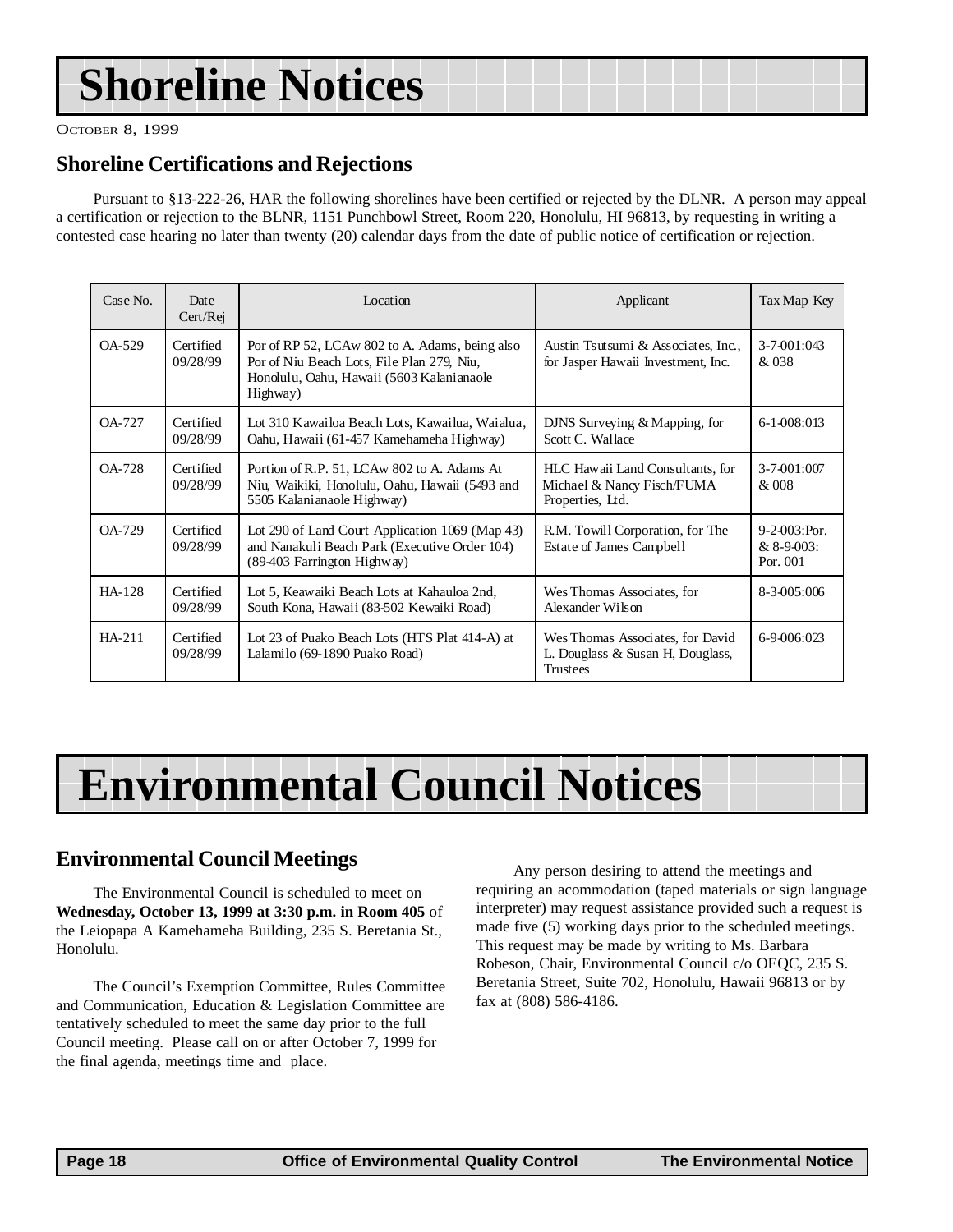## <span id="page-17-0"></span>**Shoreline Notices**

OCTOBER 8, 1999

### **Shoreline Certifications and Rejections**

Pursuant to §13-222-26, HAR the following shorelines have been certified or rejected by the DLNR. A person may appeal a certification or rejection to the BLNR, 1151 Punchbowl Street, Room 220, Honolulu, HI 96813, by requesting in writing a contested case hearing no later than twenty (20) calendar days from the date of public notice of certification or rejection.

| Case No.      | Date<br>Cert/Rej                                                                                                                                                                                    | Location                                                                                                                                                                                                                           | Applicant                                                                          | Tax Map Key                                    |
|---------------|-----------------------------------------------------------------------------------------------------------------------------------------------------------------------------------------------------|------------------------------------------------------------------------------------------------------------------------------------------------------------------------------------------------------------------------------------|------------------------------------------------------------------------------------|------------------------------------------------|
| $OA-529$      | Certified<br>09/28/99                                                                                                                                                                               | Por of RP 52, LCAw 802 to A. Adams, being also<br>Austin Tsutsumi & Associates, Inc.,<br>Por of Niu Beach Lots, File Plan 279, Niu,<br>for Jasper Hawaii Investment, Inc.<br>Honolulu, Oahu, Hawaii (5603 Kalanianaole<br>Highway) |                                                                                    | 3-7-001:043<br>& 038                           |
| <b>OA-727</b> | Certified<br>Lot 310 Kawailoa Beach Lots, Kawailua, Waialua,<br>DJNS Surveying & Mapping, for<br>Scott C. Wallace<br>09/28/99<br>Oahu, Hawaii (61-457 Kamehameha Highway)                           |                                                                                                                                                                                                                                    | 6-1-008:013                                                                        |                                                |
| <b>OA-728</b> | Certified<br>09/28/99                                                                                                                                                                               | Portion of R.P. 51, LCAw 802 to A. Adams At<br>Niu, Waikiki, Honolulu, Oahu, Hawaii (5493 and<br>5505 Kalanianaole Highway)                                                                                                        | HLC Hawaii Land Consultants, for<br>Michael & Nancy Fisch/FUMA<br>Properties, Ltd. | 3-7-001:007<br>& 008                           |
| <b>OA-729</b> | Certified<br>09/28/99                                                                                                                                                                               | Lot 290 of Land Court Application 1069 (Map 43)<br>and Nanakuli Beach Park (Executive Order 104)<br>(89-403 Farrington Highway)                                                                                                    | R.M. Towill Corporation, for The<br>Estate of James Campbell                       | 9-2-003:Por.<br>$& 8 - 9 - 003:$<br>Por. $001$ |
| HA-128        | Certified<br>09/28/99                                                                                                                                                                               | Lot 5, Keawaiki Beach Lots at Kahauloa 2nd,<br>South Kona, Hawaii (83-502 Kewaiki Road)                                                                                                                                            | Wes Thomas Associates, for<br>Alexander Wilson                                     | $8 - 3 - 0.05 : 0.06$                          |
| HA-211        | Certified<br>Lot 23 of Puako Beach Lots (HTS Plat 414-A) at<br>Wes Thomas Associates, for David<br>09/28/99<br>Lalamilo (69-1890 Puako Road)<br>L. Douglass & Susan H, Douglass,<br><b>Trustees</b> |                                                                                                                                                                                                                                    | 6-9-006:023                                                                        |                                                |

## **Environmental Council Notices**

### **Environmental Council Meetings**

The Environmental Council is scheduled to meet on **Wednesday, October 13, 1999 at 3:30 p.m. in Room 405** of the Leiopapa A Kamehameha Building, 235 S. Beretania St., Honolulu.

The Council's Exemption Committee, Rules Committee and Communication, Education & Legislation Committee are tentatively scheduled to meet the same day prior to the full Council meeting. Please call on or after October 7, 1999 for the final agenda, meetings time and place.

Any person desiring to attend the meetings and requiring an acommodation (taped materials or sign language interpreter) may request assistance provided such a request is made five (5) working days prior to the scheduled meetings. This request may be made by writing to Ms. Barbara Robeson, Chair, Environmental Council c/o OEQC, 235 S. Beretania Street, Suite 702, Honolulu, Hawaii 96813 or by fax at (808) 586-4186.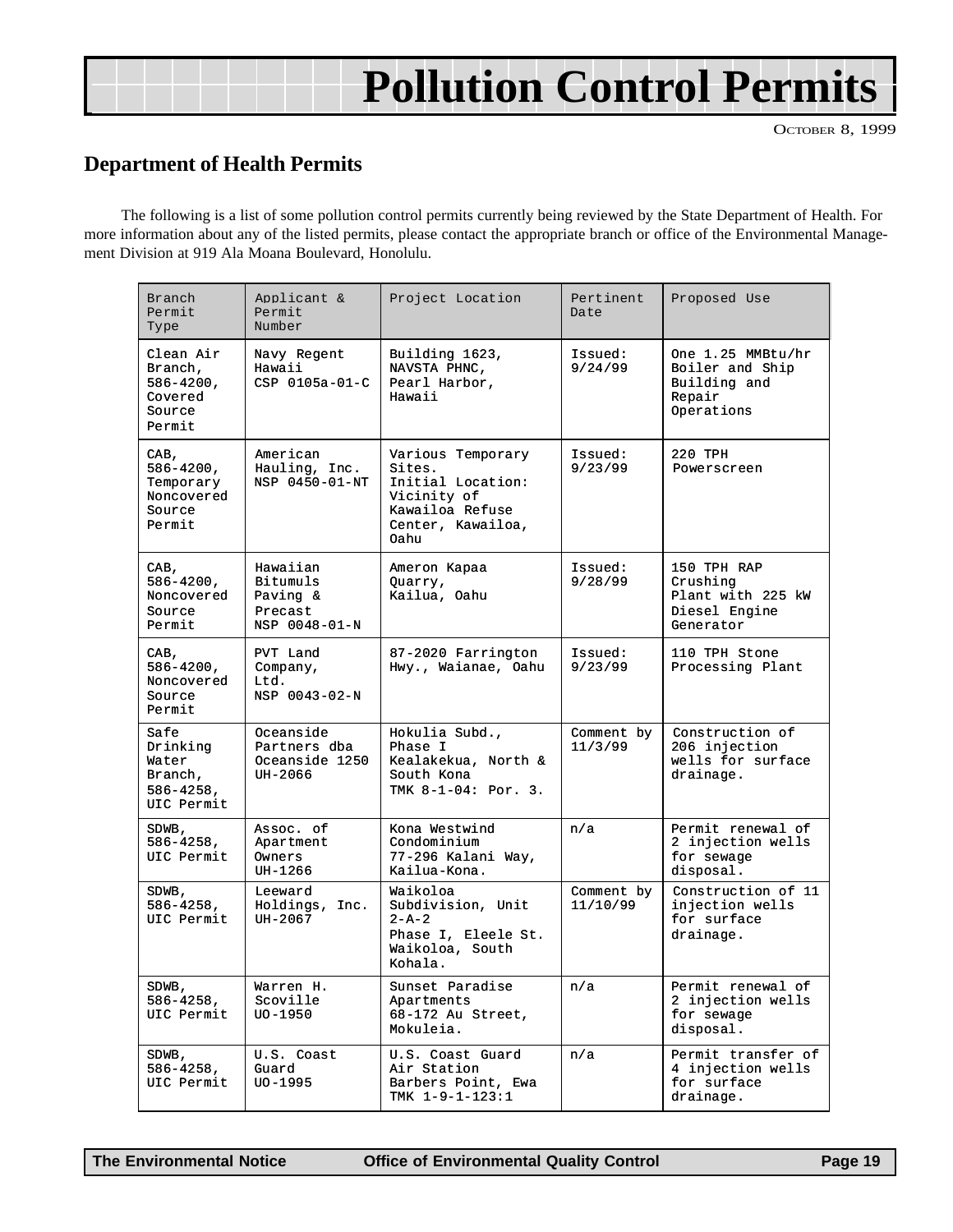## **Pollution Control Permits**

OCTOBER 8, 1999

### **Department of Health Permits**

The following is a list of some pollution control permits currently being reviewed by the State Department of Health. For more information about any of the listed permits, please contact the appropriate branch or office of the Environmental Management Division at 919 Ala Moana Boulevard, Honolulu.

| Branch<br>Permit<br>Type                                              | Applicant &<br>Permit<br>Number                              | Project Location                                                                                                | Pertinent<br>Date      | Proposed Use                                                                 |
|-----------------------------------------------------------------------|--------------------------------------------------------------|-----------------------------------------------------------------------------------------------------------------|------------------------|------------------------------------------------------------------------------|
| Clean Air<br>Branch,<br>$586 - 4200$ ,<br>Covered<br>Source<br>Permit | Navy Regent<br>Hawaii<br>$CSP$ 0105a-01-C                    | Building 1623,<br>NAVSTA PHNC,<br>Pearl Harbor.<br>Hawaii                                                       | Issued:<br>9/24/99     | One 1.25 MMBtu/hr<br>Boiler and Ship<br>Building and<br>Repair<br>Operations |
| CAB,<br>$586 - 4200,$<br>Temporary<br>Noncovered<br>Source<br>Permit  | American<br>Hauling, Inc.<br>NSP 0450-01-NT                  | Various Temporary<br>Sites.<br>Initial Location:<br>Vicinity of<br>Kawailoa Refuse<br>Center, Kawailoa,<br>Oahu | Issued:<br>9/23/99     | 220 TPH<br>Powerscreen                                                       |
| CAB,<br>$586 - 4200$ ,<br>Noncovered<br>Source<br>Permit              | Hawaiian<br>Bitumuls<br>Paving &<br>Precast<br>NSP 0048-01-N | Ameron Kapaa<br>Quarry,<br>Kailua, Oahu                                                                         | Issued:<br>9/28/99     | 150 TPH RAP<br>Crushing<br>Plant with 225 kW<br>Diesel Engine<br>Generator   |
| CAB,<br>$586 - 4200$ ,<br>Noncovered<br>Source<br>Permit              | PVT Land<br>Company,<br>Ltd.<br>NSP 0043-02-N                | 87-2020 Farrington<br>Hwy., Waianae, Oahu                                                                       | Issued:<br>9/23/99     | 110 TPH Stone<br>Processing Plant                                            |
| Safe<br>Drinking<br>Water<br>Branch,<br>$586 - 4258$ ,<br>UIC Permit  | Oceanside<br>Partners dba<br>Oceanside 1250<br>UH-2066       | Hokulia Subd.,<br>Phase I<br>Kealakekua, North &<br>South Kona<br>TMK 8-1-04: Por. 3.                           | Comment by<br>11/3/99  | Construction of<br>206 injection<br>wells for surface<br>drainage.           |
| SDWB,<br>$586 - 4258$ ,<br>UIC Permit                                 | Assoc. of<br>Apartment<br>Owners<br>UH-1266                  | Kona Westwind<br>Condominium<br>77-296 Kalani Way,<br>Kailua-Kona.                                              | n/a                    | Permit renewal of<br>2 injection wells<br>for sewage<br>disposal.            |
| SDWB,<br>$586 - 4258$ ,<br>UIC Permit                                 | Leeward<br>Holdings, Inc.<br>UH-2067                         | Waikoloa<br>Subdivision, Unit<br>$2 - A - 2$<br>Phase I, Eleele St.<br>Waikoloa, South<br>Kohala.               | Comment by<br>11/10/99 | Construction of 11<br>injection wells<br>for surface<br>drainage.            |
| SDWB,<br>$586 - 4258$ ,<br>UIC Permit                                 | Warren H.<br>Scoville<br>UO-1950                             | Sunset Paradise<br>Apartments<br>68-172 Au Street,<br>Mokuleia.                                                 | n/a                    | Permit renewal of<br>2 injection wells<br>for sewage<br>disposal.            |
| SDWB,<br>$586 - 4258$ ,<br>UIC Permit                                 | U.S. Coast<br>Guard<br>$UO - 1995$                           | U.S. Coast Guard<br>Air Station<br>Barbers Point, Ewa<br>TMK $1 - 9 - 1 - 123:1$                                | n/a                    | Permit transfer of<br>4 injection wells<br>for surface<br>drainage.          |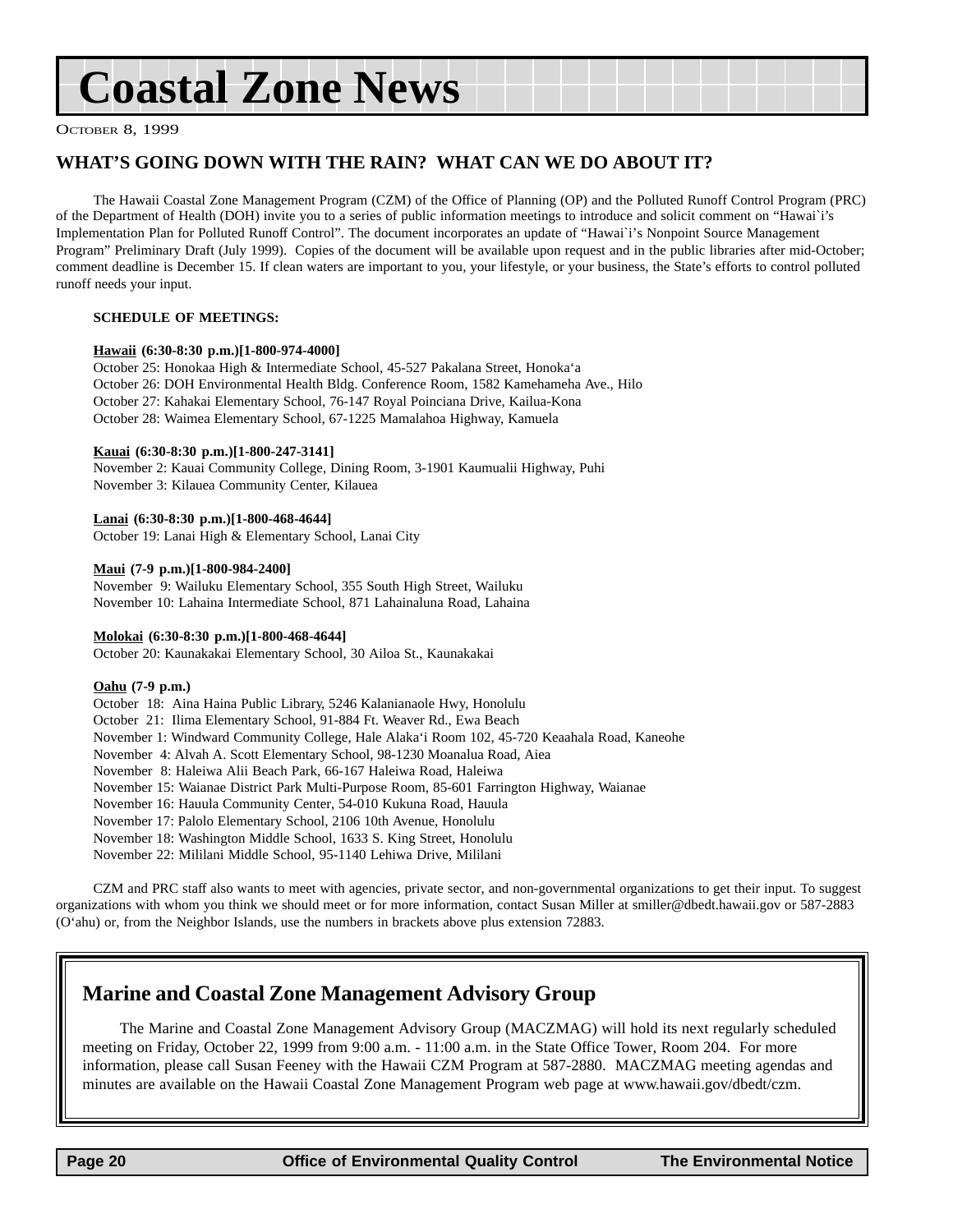## <span id="page-19-0"></span>**Coastal Zone News**

OCTOBER 8, 1999

### **WHAT'S GOING DOWN WITH THE RAIN? WHAT CAN WE DO ABOUT IT?**

The Hawaii Coastal Zone Management Program (CZM) of the Office of Planning (OP) and the Polluted Runoff Control Program (PRC) of the Department of Health (DOH) invite you to a series of public information meetings to introduce and solicit comment on "Hawai`i's Implementation Plan for Polluted Runoff Control". The document incorporates an update of "Hawai`i's Nonpoint Source Management Program" Preliminary Draft (July 1999). Copies of the document will be available upon request and in the public libraries after mid-October; comment deadline is December 15. If clean waters are important to you, your lifestyle, or your business, the State's efforts to control polluted runoff needs your input.

#### **SCHEDULE OF MEETINGS:**

#### **Hawaii (6:30-8:30 p.m.)[1-800-974-4000]**

October 25: Honokaa High & Intermediate School, 45-527 Pakalana Street, Honoka'a October 26: DOH Environmental Health Bldg. Conference Room, 1582 Kamehameha Ave., Hilo October 27: Kahakai Elementary School, 76-147 Royal Poinciana Drive, Kailua-Kona October 28: Waimea Elementary School, 67-1225 Mamalahoa Highway, Kamuela

#### **Kauai (6:30-8:30 p.m.)[1-800-247-3141]**

November 2: Kauai Community College, Dining Room, 3-1901 Kaumualii Highway, Puhi November 3: Kilauea Community Center, Kilauea

**Lanai (6:30-8:30 p.m.)[1-800-468-4644]**

October 19: Lanai High & Elementary School, Lanai City

#### **Maui (7-9 p.m.)[1-800-984-2400]**

November 9: Wailuku Elementary School, 355 South High Street, Wailuku November 10: Lahaina Intermediate School, 871 Lahainaluna Road, Lahaina

#### **Molokai (6:30-8:30 p.m.)[1-800-468-4644]**

October 20: Kaunakakai Elementary School, 30 Ailoa St., Kaunakakai

#### **Oahu (7-9 p.m.)**

October 18: Aina Haina Public Library, 5246 Kalanianaole Hwy, Honolulu October 21: Ilima Elementary School, 91-884 Ft. Weaver Rd., Ewa Beach November 1: Windward Community College, Hale Alaka'i Room 102, 45-720 Keaahala Road, Kaneohe November 4: Alvah A. Scott Elementary School, 98-1230 Moanalua Road, Aiea November 8: Haleiwa Alii Beach Park, 66-167 Haleiwa Road, Haleiwa November 15: Waianae District Park Multi-Purpose Room, 85-601 Farrington Highway, Waianae November 16: Hauula Community Center, 54-010 Kukuna Road, Hauula November 17: Palolo Elementary School, 2106 10th Avenue, Honolulu November 18: Washington Middle School, 1633 S. King Street, Honolulu November 22: Mililani Middle School, 95-1140 Lehiwa Drive, Mililani

CZM and PRC staff also wants to meet with agencies, private sector, and non-governmental organizations to get their input. To suggest organizations with whom you think we should meet or for more information, contact Susan Miller at smiller@dbedt.hawaii.gov or 587-2883 (O'ahu) or, from the Neighbor Islands, use the numbers in brackets above plus extension 72883.

### **Marine and Coastal Zone Management Advisory Group**

The Marine and Coastal Zone Management Advisory Group (MACZMAG) will hold its next regularly scheduled meeting on Friday, October 22, 1999 from 9:00 a.m. - 11:00 a.m. in the State Office Tower, Room 204. For more information, please call Susan Feeney with the Hawaii CZM Program at 587-2880. MACZMAG meeting agendas and minutes are available on the Hawaii Coastal Zone Management Program web page at www.hawaii.gov/dbedt/czm.